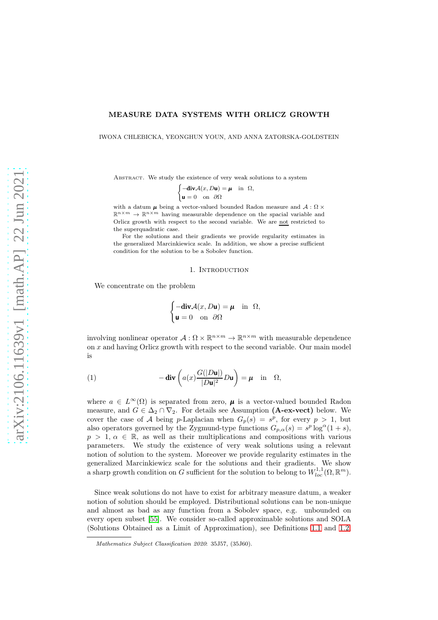# MEASURE DATA SYSTEMS WITH ORLICZ GROWTH

IWONA CHLEBICKA, YEONGHUN YOUN, AND ANNA ZATORSKA-GOLDSTEIN

ABSTRACT. We study the existence of very weak solutions to a system

$$
\begin{cases}\n-\text{div}\mathcal{A}(x,D\mathbf{u}) = \boldsymbol{\mu} & \text{in } \Omega, \\
\mathbf{u} = 0 & \text{on } \partial\Omega\n\end{cases}
$$

with a datum  $\mu$  being a vector-valued bounded Radon measure and  $\mathcal{A}: \Omega \times$  $\mathbb{R}^{n \times m} \to \mathbb{R}^{n \times m}$  having measurable dependence on the spacial variable and Orlicz growth with respect to the second variable. We are not restricted to the superquadratic case.

For the solutions and their gradients we provide regularity estimates in the generalized Marcinkiewicz scale. In addition, we show a precise sufficient condition for the solution to be a Sobolev function.

## 1. INTRODUCTION

We concentrate on the problem

$$
\begin{cases}\n-\text{div}\mathcal{A}(x,D\mathbf{u}) = \boldsymbol{\mu} & \text{in } \Omega, \\
\mathbf{u} = 0 & \text{on } \partial\Omega\n\end{cases}
$$

involving nonlinear operator  $A: \Omega \times \mathbb{R}^{n \times m} \to \mathbb{R}^{n \times m}$  with measurable dependence on x and having Orlicz growth with respect to the second variable. Our main model is

<span id="page-0-0"></span>(1) 
$$
-\operatorname{div}\left(a(x)\frac{G(|D\mathbf{u}|)}{|D\mathbf{u}|^2}D\mathbf{u}\right) = \boldsymbol{\mu} \quad \text{in} \quad \Omega,
$$

where  $a \in L^{\infty}(\Omega)$  is separated from zero,  $\mu$  is a vector-valued bounded Radon measure, and  $G \in \Delta_2 \cap \nabla_2$ . For details see Assumption (A-ex-vect) below. We cover the case of A being p-Laplacian when  $G_p(s) = s^p$ , for every  $p > 1$ , but also operators governed by the Zygmund-type functions  $G_{p,\alpha}(s) = s^p \log^{\alpha}(1+s)$ ,  $p > 1, \alpha \in \mathbb{R}$ , as well as their multiplications and compositions with various parameters. We study the existence of very weak solutions using a relevant notion of solution to the system. Moreover we provide regularity estimates in the generalized Marcinkiewicz scale for the solutions and their gradients. We show a sharp growth condition on G sufficient for the solution to belong to  $W^{1,1}_{loc}(\Omega,\mathbb{R}^m)$ .

Since weak solutions do not have to exist for arbitrary measure datum, a weaker notion of solution should be employed. Distributional solutions can be non-unique and almost as bad as any function from a Sobolev space, e.g. unbounded on every open subset [\[55\]](#page-19-0). We consider so-called approximable solutions and SOLA (Solutions Obtained as a Limit of Approximation), see Definitions [1.1](#page-2-0) and [1.2,](#page-2-1)

Mathematics Subject Classification 2020: 35J57, (35J60).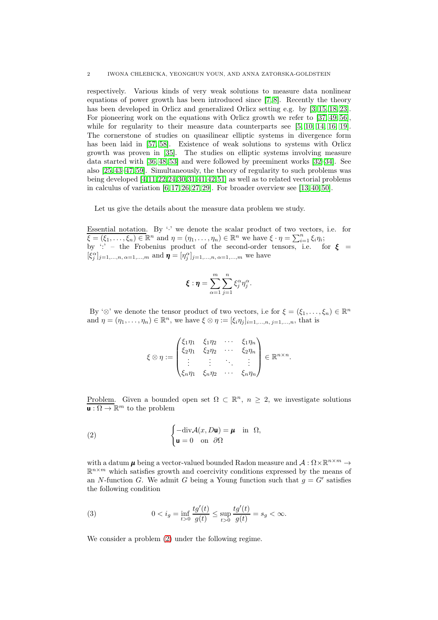respectively. Various kinds of very weak solutions to measure data nonlinear equations of power growth has been introduced since [\[7,](#page-18-0) [8\]](#page-18-1). Recently the theory has been developed in Orlicz and generalized Orlicz setting e.g. by [\[3,](#page-18-2) [15,](#page-18-3) [18,](#page-18-4) [23\]](#page-18-5). For pioneering work on the equations with Orlicz growth we refer to [\[37,](#page-19-1) [49,](#page-19-2) [56\]](#page-19-3), while for regularity to their measure data counterparts see [\[5,](#page-18-6) [10,](#page-18-7) [14,](#page-18-8) [16,](#page-18-9) [19\]](#page-18-10). The cornerstone of studies on quasilinear elliptic systems in divergence form has been laid in [\[57,](#page-20-0) [58\]](#page-20-1). Existence of weak solutions to systems with Orlicz growth was proven in [\[35\]](#page-19-4). The studies on elliptic systems involving measure data started with [\[36,](#page-19-5) [48,](#page-19-6) [53\]](#page-19-7) and were followed by preeminent works [\[32](#page-19-8)[–34\]](#page-19-9). See also [\[25,](#page-18-11) [43](#page-19-10)[–47,](#page-19-11) [59\]](#page-20-2). Simultaneously, the theory of regularity to such problems was being developed [\[4,](#page-18-12)[11,](#page-18-13)[22,](#page-18-14)[24,](#page-18-15)[30,](#page-19-12)[31,](#page-19-13)[41,](#page-19-14)[42,](#page-19-15)[51\]](#page-19-16) as well as to related vectorial problems in calculus of variation  $[6, 17, 26, 27, 29]$  $[6, 17, 26, 27, 29]$  $[6, 17, 26, 27, 29]$  $[6, 17, 26, 27, 29]$  $[6, 17, 26, 27, 29]$ . For broader overview see  $[13, 40, 50]$  $[13, 40, 50]$  $[13, 40, 50]$ .

Let us give the details about the measure data problem we study.

Essential notation. By  $\cdot$  we denote the scalar product of two vectors, i.e. for  $\xi = (\xi_1, \ldots, \xi_n) \in \mathbb{R}^n$  and  $\eta = (\eta_1, \ldots, \eta_n) \in \mathbb{R}^n$  we have  $\xi \cdot \eta = \sum_{i=1}^n \xi_i \eta_i$ ; by  $\cdot$ : – the Frobenius product of the second-order tensors, i.e. for  $\xi$  =  $[\xi_j^{\alpha}]_{j=1,...,n, \alpha=1,...,m}$  and  $\boldsymbol{\eta} = [\eta_j^{\alpha}]_{j=1,...,n, \alpha=1,...,m}$  we have

$$
\boldsymbol{\xi}:\boldsymbol{\eta}=\sum_{\alpha=1}^m\sum_{j=1}^n\xi_j^{\alpha}\eta_j^{\alpha}.
$$

By ' $\otimes$ ' we denote the tensor product of two vectors, i.e for  $\xi = (\xi_1, \ldots, \xi_n) \in \mathbb{R}^n$ and  $\eta = (\eta_1, \ldots, \eta_n) \in \mathbb{R}^n$ , we have  $\xi \otimes \eta := [\xi_i \eta_j]_{i=1,\ldots,n}$ , that is

$$
\xi \otimes \eta := \begin{pmatrix} \xi_1 \eta_1 & \xi_1 \eta_2 & \cdots & \xi_1 \eta_n \\ \xi_2 \eta_1 & \xi_2 \eta_2 & \cdots & \xi_2 \eta_n \\ \vdots & \vdots & \ddots & \vdots \\ \xi_n \eta_1 & \xi_n \eta_2 & \cdots & \xi_n \eta_n \end{pmatrix} \in \mathbb{R}^{n \times n}.
$$

Problem. Given a bounded open set  $\Omega \subset \mathbb{R}^n$ ,  $n \geq 2$ , we investigate solutions  $\mathbf{u}: \Omega \to \mathbb{R}^m$  to the problem

<span id="page-1-0"></span>(2) 
$$
\begin{cases}\n-\text{div}\mathcal{A}(x,D\mathbf{u}) = \mathbf{\mu} & \text{in } \Omega, \\
\mathbf{u} = 0 & \text{on } \partial\Omega\n\end{cases}
$$

with a datum  $\mu$  being a vector-valued bounded Radon measure and  $\mathcal{A}: \Omega \times \mathbb{R}^{n \times m} \to$  $\mathbb{R}^{n \times m}$  which satisfies growth and coercivity conditions expressed by the means of an N-function G. We admit G being a Young function such that  $g = G'$  satisfies the following condition

<span id="page-1-1"></span>(3) 
$$
0 < i_g = \inf_{t > 0} \frac{tg'(t)}{g(t)} \le \sup_{t > 0} \frac{tg'(t)}{g(t)} = s_g < \infty.
$$

We consider a problem [\(2\)](#page-1-0) under the following regime.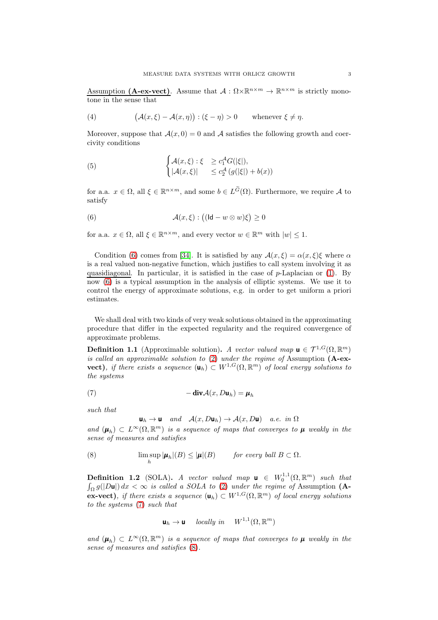Assumption (A-ex-vect). Assume that  $A: \Omega \times \mathbb{R}^{n \times m} \to \mathbb{R}^{n \times m}$  is strictly monotone in the sense that

<span id="page-2-6"></span>(4) 
$$
(\mathcal{A}(x,\xi)-\mathcal{A}(x,\eta)):(\xi-\eta)>0 \quad \text{whenever } \xi \neq \eta.
$$

Moreover, suppose that  $A(x, 0) = 0$  and A satisfies the following growth and coercivity conditions

<span id="page-2-5"></span>(5) 
$$
\begin{cases} \mathcal{A}(x,\xi) : \xi \ge c_1^A G(|\xi|), \\ |\mathcal{A}(x,\xi)| \le c_2^A \left( g(|\xi|) + b(x) \right) \end{cases}
$$

for a.a.  $x \in \Omega$ , all  $\xi \in \mathbb{R}^{n \times m}$ , and some  $b \in L^{\tilde{G}}(\Omega)$ . Furthermore, we require A to satisfy

<span id="page-2-2"></span>(6) 
$$
\mathcal{A}(x,\xi):((\mathsf{Id}-w\otimes w)\xi)\geq 0
$$

for a.a.  $x \in \Omega$ , all  $\xi \in \mathbb{R}^{n \times m}$ , and every vector  $w \in \mathbb{R}^m$  with  $|w| \leq 1$ .

Condition [\(6\)](#page-2-2) comes from [\[34\]](#page-19-9). It is satisfied by any  $\mathcal{A}(x,\xi) = \alpha(x,\xi)\xi$  where  $\alpha$ is a real valued non-negative function, which justifies to call system involving it as quasidiagonal. In particular, it is satisfied in the case of  $p$ -Laplacian or [\(1\)](#page-0-0). By now [\(6\)](#page-2-2) is a typical assumption in the analysis of elliptic systems. We use it to control the energy of approximate solutions, e.g. in order to get uniform a priori estimates.

We shall deal with two kinds of very weak solutions obtained in the approximating procedure that differ in the expected regularity and the required convergence of approximate problems.

<span id="page-2-0"></span>**Definition 1.1** (Approximable solution). A vector valued map  $\mathbf{u} \in \mathcal{T}^{1, G}(\Omega, \mathbb{R}^m)$ is called an approximable solution to  $(2)$  under the regime of Assumption (A-exvect), if there exists a sequence  $(\mathbf{u}_h) \subset W^{1,G}(\Omega,\mathbb{R}^m)$  of local energy solutions to the systems

(7) 
$$
-\operatorname{div} \mathcal{A}(x, D\mathbf{u}_h) = \boldsymbol{\mu}_h
$$

such that

<span id="page-2-4"></span><span id="page-2-3"></span>
$$
\mathbf{u}_h \to \mathbf{u} \quad \text{and} \quad \mathcal{A}(x, D\mathbf{u}_h) \to \mathcal{A}(x, D\mathbf{u}) \quad \text{a.e. in } \Omega
$$

and  $(\mu_h) \subset L^{\infty}(\Omega, \mathbb{R}^m)$  is a sequence of maps that converges to  $\mu$  weakly in the sense of measures and satisfies

(8) 
$$
\limsup_{h} |\boldsymbol{\mu}_h|(B) \leq |\boldsymbol{\mu}|(B) \quad \text{for every ball } B \subset \Omega.
$$

<span id="page-2-1"></span>**Definition 1.2** (SOLA). A vector valued map  $\mathbf{u} \in W_0^{1,1}(\Omega,\mathbb{R}^m)$  such that  $\int_{\Omega} g(|D\mathbf{u}|) dx < \infty$  is called a SOLA to [\(2\)](#page-1-0) under the regime of Assumption (A**ex-vect**), if there exists a sequence  $(\mathbf{u}_h) \subset W^{1,G}(\Omega,\mathbb{R}^m)$  of local energy solutions to the systems [\(7\)](#page-2-3) such that

$$
\mathbf{u}_h \to \mathbf{u} \quad \text{ locally in} \quad W^{1,1}(\Omega, \mathbb{R}^m)
$$

and  $(\mu_h) \subset L^{\infty}(\Omega, \mathbb{R}^m)$  is a sequence of maps that converges to  $\mu$  weakly in the sense of measures and satisfies [\(8\)](#page-2-4).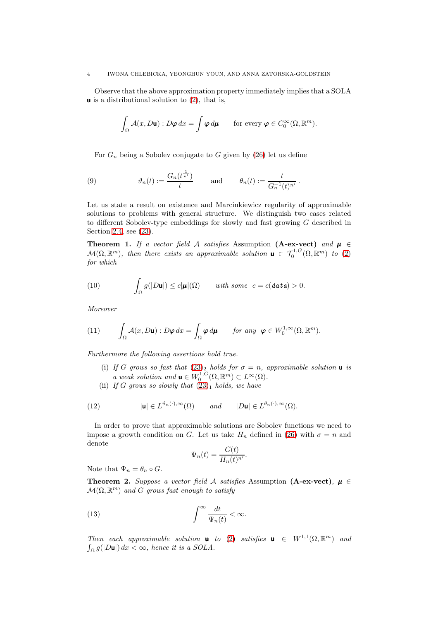### 4 IWONA CHLEBICKA, YEONGHUN YOUN, AND ANNA ZATORSKA-GOLDSTEIN

Observe that the above approximation property immediately implies that a SOLA  $\boldsymbol{\mu}$  is a distributional solution to [\(2\)](#page-1-0), that is,

$$
\int_{\Omega} \mathcal{A}(x, D\mathbf{u}): D\boldsymbol{\varphi} \, dx = \int \boldsymbol{\varphi} \, d\boldsymbol{\mu} \qquad \text{for every } \boldsymbol{\varphi} \in C_0^{\infty}(\Omega, \mathbb{R}^m).
$$

For  $G_n$  being a Sobolev conjugate to G given by [\(26\)](#page-7-0) let us define

(9) 
$$
\vartheta_n(t) := \frac{G_n(t^{\frac{1}{n'}})}{t} \quad \text{and} \quad \theta_n(t) := \frac{t}{G_n^{-1}(t)^{n'}}.
$$

Let us state a result on existence and Marcinkiewicz regularity of approximable solutions to problems with general structure. We distinguish two cases related to different Sobolev-type embeddings for slowly and fast growing G described in Section [2.4,](#page-7-1) see [\(23\)](#page-7-2).

<span id="page-3-1"></span>Theorem 1. If a vector field A satisfies Assumption (A-ex-vect) and  $\mu \in$  $\mathcal{M}(\Omega,\mathbb{R}^m)$ , then there exists an approximable solution  $\mathbf{u} \in \mathcal{T}_0^{1,G}(\Omega,\mathbb{R}^m)$  to [\(2\)](#page-1-0) for which

(10) 
$$
\int_{\Omega} g(|D\mathbf{u}|) \leq c|\boldsymbol{\mu}|(\Omega) \quad \text{with some} \quad c = c(\text{data}) > 0.
$$

Moreover

<span id="page-3-3"></span>(11) 
$$
\int_{\Omega} \mathcal{A}(x, D\mathbf{u}): D\boldsymbol{\varphi} dx = \int_{\Omega} \boldsymbol{\varphi} d\boldsymbol{\mu} \quad \text{for any } \boldsymbol{\varphi} \in W_0^{1, \infty}(\Omega, \mathbb{R}^m).
$$

Furthermore the following assertions hold true.

- (i) If G grows so fast that  $(23)_2$  $(23)_2$  holds for  $\sigma = n$ , approximable solution **u** is a weak solution and  $\mathbf{u} \in W_0^{1,G}(\Omega,\mathbb{R}^m) \subset L^\infty(\Omega)$ .
- (ii) If G grows so slowly that  $(23)_1$  $(23)_1$  holds, we have

(12) 
$$
|\mathbf{u}| \in L^{\vartheta_n(\cdot),\infty}(\Omega) \quad \text{and} \quad |D\mathbf{u}| \in L^{\theta_n(\cdot),\infty}(\Omega).
$$

In order to prove that approximable solutions are Sobolev functions we need to impose a growth condition on G. Let us take  $H_n$  defined in [\(26\)](#page-7-0) with  $\sigma = n$  and denote

<span id="page-3-0"></span>
$$
\Psi_n(t) = \frac{G(t)}{H_n(t)^{n'}}.
$$

Note that  $\Psi_n = \theta_n \circ G$ .

<span id="page-3-2"></span>**Theorem 2.** Suppose a vector field A satisfies Assumption (A-ex-vect),  $\mu \in$  $\mathcal{M}(\Omega,\mathbb{R}^m)$  and G grows fast enough to satisfy

(13) 
$$
\int^{\infty} \frac{dt}{\Psi_n(t)} < \infty.
$$

Then each approximable solution **u** to [\(2\)](#page-1-0) satisfies **u**  $\in$   $W^{1,1}(\Omega,\mathbb{R}^m)$  and  $\int_{\Omega} g(|D\mathbf{u}|) dx < \infty$ , hence it is a SOLA.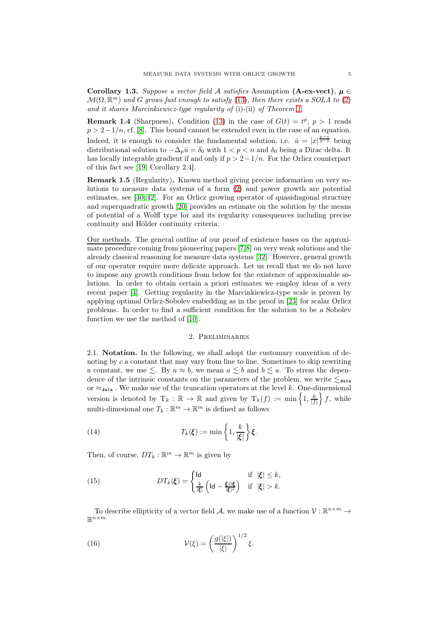Corollary 1.3. Suppose a vector field A satisfies Assumption (A-ex-vect),  $\mu \in$  $\mathcal{M}(\Omega,\mathbb{R}^m)$  and G grows fast enough to satisfy [\(13\)](#page-3-0), then there exists a SOLA to [\(2\)](#page-1-0) and it shares Marcinkiewicz-type regularity of (i)-(ii) of Theorem [1.](#page-3-1)

**Remark 1.4** (Sharpness). Condition [\(13\)](#page-3-0) in the case of  $G(t) = t^p$ ,  $p > 1$  reads  $p > 2-1/n$ , cf. [\[8\]](#page-18-1). This bound cannot be extended even in the case of an equation. Indeed, it is enough to consider the fundamental solution, i.e.  $\bar{u} = |x|^{\frac{p-n}{p-1}}$  being distributional solution to  $-\Delta_p \bar{u} = \delta_0$  with  $1 < p < n$  and  $\delta_0$  being a Dirac delta. It has locally integrable gradient if and only if  $p > 2-1/n$ . For the Orlicz counterpart of this fact see [\[19,](#page-18-10) Corollary 2.4].

Remark 1.5 (Regularity). Known method giving precise information on very solutions to measure data systems of a form [\(2\)](#page-1-0) and power growth are potential estimates, see [\[40,](#page-19-19) [42\]](#page-19-15). For an Orlicz growing operator of quasidiagonal structure and superquadratic growth [\[20\]](#page-18-20) provides an estimate on the solution by the means of potential of a Wolff type for and its regularity consequences including precise continuity and Hölder continuity criteria.

Our methods. The general outline of our proof of existence bases on the approximate procedure coming from pioneering papers [\[7,](#page-18-0)[8\]](#page-18-1) on very weak solutions and the already classical reasoning for measure data systems [\[32\]](#page-19-8). However, general growth of our operator require more delicate approach. Let us recall that we do not have to impose any growth conditions from below for the existence of approximable solutions. In order to obtain certain a priori estimates we employ ideas of a very recent paper [\[4\]](#page-18-12). Getting regularity in the Marcinkiewicz-type scale is proven by applying optimal Orlicz-Sobolev embedding as in the proof in [\[23\]](#page-18-5) for scalar Orlicz problems. In order to find a sufficient condition for the solution to be a Sobolev function we use the method of [\[10\]](#page-18-7).

# 2. Preliminaries

2.1. Notation. In the following, we shall adopt the customary convention of denoting by c a constant that may vary from line to line. Sometimes to skip rewriting a constant, we use  $\leq$ . By  $a \approx b$ , we mean  $a \leq b$  and  $b \leq a$ . To stress the dependence of the intrinsic constants on the parameters of the problem, we write  $\leq_{data}$ or  $\approx_{\text{data}}$ . We make use of the truncation operators at the level k. One-dimensional version is denoted by  $T_k : \mathbb{R} \to \mathbb{R}$  and given by  $T_k(f) := \min \left\{1, \frac{k}{|f|}\right\}$  $f$ , while multi-dimesional one  $T_k : \mathbb{R}^m \to \mathbb{R}^m$  is defined as follows

(14) 
$$
T_k(\boldsymbol{\xi}) := \min \left\{ 1, \frac{k}{|\boldsymbol{\xi}|} \right\} \boldsymbol{\xi}.
$$

Then, of course,  $DT_k : \mathbb{R}^m \to \mathbb{R}^m$  is given by

<span id="page-4-0"></span>(15) 
$$
DT_k(\boldsymbol{\xi}) = \begin{cases} \text{Id} & \text{if } |\boldsymbol{\xi}| \leq k, \\ \frac{k}{|\boldsymbol{\xi}|} \left( \text{Id} - \frac{\boldsymbol{\xi} \otimes \boldsymbol{\xi}}{|\boldsymbol{\xi}|^2} \right) & \text{if } |\boldsymbol{\xi}| > k. \end{cases}
$$

To describe ellipticity of a vector field A, we make use of a function  $V: \mathbb{R}^{n \times m} \to$  $\mathbb{R}^{n \times m}$ 

(16) 
$$
\mathcal{V}(\xi) = \left(\frac{g(|\xi|)}{|\xi|}\right)^{1/2}\xi.
$$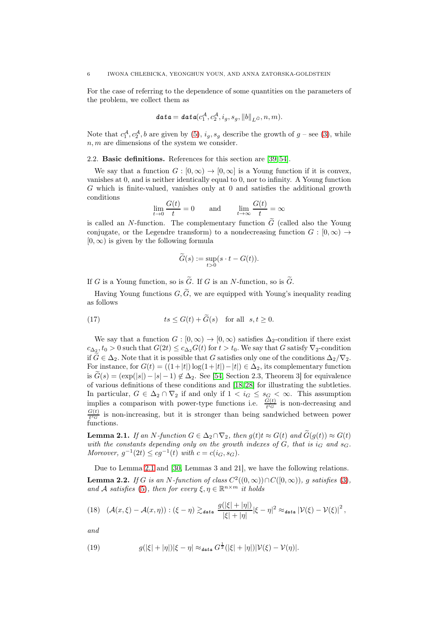For the case of referring to the dependence of some quantities on the parameters of the problem, we collect them as

$$
\mathbf{data} = \mathbf{data}(c_1^{\mathcal{A}}, c_2^{\mathcal{A}}, i_g, s_g, ||b||_{L^{\widetilde{\mathcal{G}}}}, n, m).
$$

Note that  $c_1^{\mathcal{A}}, c_2^{\mathcal{A}}, b$  are given by [\(5\)](#page-2-5),  $i_g, s_g$  describe the growth of  $g$  – see [\(3\)](#page-1-1), while  $n, m$  are dimensions of the system we consider.

2.2. Basic definitions. References for this section are [\[39,](#page-19-21) [54\]](#page-19-22).

We say that a function  $G : [0, \infty) \to [0, \infty]$  is a Young function if it is convex, vanishes at 0, and is neither identically equal to 0, nor to infinity. A Young function G which is finite-valued, vanishes only at 0 and satisfies the additional growth conditions

$$
\lim_{t \to 0} \frac{G(t)}{t} = 0 \quad \text{and} \quad \lim_{t \to \infty} \frac{G(t)}{t} = \infty
$$

is called an N-function. The complementary function  $\tilde{G}$  (called also the Young conjugate, or the Legendre transform) to a nondecreasing function  $G : [0, \infty) \rightarrow$  $[0, \infty)$  is given by the following formula

$$
\widetilde{G}(s):=\sup_{t>0}(s\cdot t-G(t)).
$$

If G is a Young function, so is  $\tilde{G}$ . If G is an N-function, so is  $\tilde{G}$ .

Having Young functions  $G, \widetilde{G}$ , we are equipped with Young's inequality reading as follows

(17) 
$$
ts \le G(t) + G(s) \quad \text{for all} \quad s, t \ge 0.
$$

We say that a function  $G : [0, \infty) \to [0, \infty)$  satisfies  $\Delta_2$ -condition if there exist  $c_{\Delta_2}$ ,  $t_0 > 0$  such that  $G(2t) \leq c_{\Delta_2} G(t)$  for  $t > t_0$ . We say that G satisfy  $\nabla_2$ -condition if  $\widetilde{G} \in \Delta_2$ . Note that it is possible that G satisfies only one of the conditions  $\Delta_2/\nabla_2$ . For instance, for  $G(t) = ((1+|t|)\log(1+|t|)-|t|) \in \Delta_2$ , its complementary function is  $G(s) = (\exp(|s|) - |s| - 1) \notin \Delta_2$ . See [\[54,](#page-19-22) Section 2.3, Theorem 3] for equivalence of various definitions of these conditions and [\[18,](#page-18-4) [28\]](#page-19-23) for illustrating the subtleties. In particular,  $G \in \Delta_2 \cap \nabla_2$  if and only if  $1 < i_G \le s_G < \infty$ . This assumption implies a comparison with power-type functions i.e.  $\frac{G(t)}{t^{i_G}}$  is non-decreasing and  $G(t)$  $\frac{G(t)}{t^{s}G}$  is non-increasing, but it is stronger than being sandwiched between power functions.

<span id="page-5-0"></span>**Lemma 2.1.** If an N-function  $G \in \Delta_2 \cap \nabla_2$ , then  $g(t)t \approx G(t)$  and  $\widetilde{G}(g(t)) \approx G(t)$ with the constants depending only on the growth indexes of  $G$ , that is  $i_G$  and  $s_G$ . Moreover,  $g^{-1}(2t) \le cg^{-1}(t)$  with  $c = c(i_G, s_G)$ .

Due to Lemma [2.1](#page-5-0) and [\[30,](#page-19-12) Lemmas 3 and 21], we have the following relations. **Lemma 2.2.** If G is an N-function of class  $C^2((0,\infty)) \cap C([0,\infty))$ , g satisfies [\(3\)](#page-1-1), and A satisfies [\(5\)](#page-2-5), then for every  $\xi, \eta \in \mathbb{R}^{n \times m}$  it holds

$$
(18)\quad (\mathcal{A}(x,\xi)-\mathcal{A}(x,\eta)):(\xi-\eta) \gtrsim_{\mathit{data}} \frac{g(|\xi|+|\eta|)}{|\xi|+|\eta|}|\xi-\eta|^2 \approx_{\mathit{data}} |\mathcal{V}(\xi)-\mathcal{V}(\xi)|^2,
$$

and

(19) 
$$
g(|\xi|+|\eta|)|\xi-\eta| \approx_{\text{data}} G^{\frac{1}{2}}(|\xi|+|\eta|)|\mathcal{V}(\xi)-\mathcal{V}(\eta)|.
$$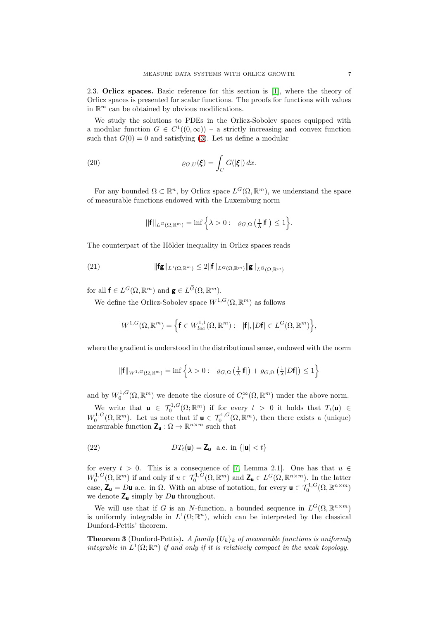2.3. Orlicz spaces. Basic reference for this section is [\[1\]](#page-18-21), where the theory of Orlicz spaces is presented for scalar functions. The proofs for functions with values in  $\mathbb{R}^m$  can be obtained by obvious modifications.

We study the solutions to PDEs in the Orlicz-Sobolev spaces equipped with a modular function  $G \in C^1((0,\infty))$  – a strictly increasing and convex function such that  $G(0) = 0$  and satisfying [\(3\)](#page-1-1). Let us define a modular

(20) 
$$
\varrho_{G,U}(\boldsymbol{\xi}) = \int_U G(|\boldsymbol{\xi}|) dx.
$$

For any bounded  $\Omega \subset \mathbb{R}^n$ , by Orlicz space  $L^G(\Omega, \mathbb{R}^m)$ , we understand the space of measurable functions endowed with the Luxemburg norm

<span id="page-6-0"></span>
$$
||\mathbf{f}||_{L^{G}(\Omega,\mathbb{R}^m)} = \inf \left\{ \lambda > 0 : \ \varrho_{G,\Omega} \left( \frac{1}{\lambda} |\mathbf{f}| \right) \leq 1 \right\}.
$$

The counterpart of the Hölder inequality in Orlicz spaces reads

(21) 
$$
\|\mathbf{f}\mathbf{g}\|_{L^1(\Omega,\mathbb{R}^m)} \leq 2\|\mathbf{f}\|_{L^G(\Omega,\mathbb{R}^m)}\|\mathbf{g}\|_{L^{\widetilde{G}}(\Omega,\mathbb{R}^m)}
$$

for all  $\mathbf{f} \in L^G(\Omega, \mathbb{R}^m)$  and  $\mathbf{g} \in L^{\widetilde{G}}(\Omega, \mathbb{R}^m)$ .

We define the Orlicz-Sobolev space  $W^{1,G}(\Omega,\mathbb{R}^m)$  as follows

$$
W^{1,G}(\Omega,\mathbb{R}^m)=\Big\{\mathbf{f}\in W^{1,1}_{loc}(\Omega,\mathbb{R}^m):\ \ |\mathbf{f}|,|D\mathbf{f}|\in L^G(\Omega,\mathbb{R}^m)\Big\},
$$

where the gradient is understood in the distributional sense, endowed with the norm

$$
\|\mathbf{f}\|_{W^{1,G}(\Omega,\mathbb{R}^m)} = \inf \left\{\lambda > 0: \ \varrho_{G,\Omega}\left(\frac{1}{\lambda}|\mathbf{f}|\right) + \varrho_{G,\Omega}\left(\frac{1}{\lambda}|D\mathbf{f}|\right) \leq 1\right\}
$$

and by  $W_0^{1,G}(\Omega,\mathbb{R}^m)$  we denote the closure of  $C_c^{\infty}(\Omega,\mathbb{R}^m)$  under the above norm.

We write that  $\mathbf{u} \in \mathcal{T}_0^{1,G}(\Omega;\mathbb{R}^m)$  if for every  $t > 0$  it holds that  $T_t(\mathbf{u}) \in$  $W_0^{1,G}(\Omega,\mathbb{R}^m)$ . Let us note that if  $\mathbf{u} \in \mathcal{T}_0^{1,G}(\Omega,\mathbb{R}^m)$ , then there exists a (unique) measurable function  $\mathbf{Z}_{\mathbf{u}} : \Omega \to \mathbb{R}^{n \times m}$  such that

<span id="page-6-1"></span>(22) 
$$
DT_t(\mathbf{u}) = \mathbf{Z}_{\mathbf{u}} \text{ a.e. in } \{|\mathbf{u}| < t\}
$$

for every  $t > 0$ . This is a consequence of [\[7,](#page-18-0) Lemma 2.1]. One has that  $u \in$  $W_0^{1,G}(\Omega,\mathbb{R}^m)$  if and only if  $u \in \mathcal{T}_0^{1,G}(\Omega,\mathbb{R}^m)$  and  $\mathbf{Z}_\mathbf{u} \in L^G(\Omega,\mathbb{R}^{n \times m})$ . In the latter case,  $\mathbf{Z}_{\mathbf{u}} = D\mathbf{u}$  a.e. in  $\Omega$ . With an abuse of notation, for every  $\mathbf{u} \in \mathcal{T}_0^{1, G}(\Omega, \mathbb{R}^{n \times m})$ we denote  $Z_{\mathsf{u}}$  simply by Du throughout.

We will use that if G is an N-function, a bounded sequence in  $L^G(\Omega, \mathbb{R}^{n \times m})$ is uniformly integrable in  $L^1(\Omega;\mathbb{R}^n)$ , which can be interpreted by the classical Dunford-Pettis' theorem.

<span id="page-6-2"></span>**Theorem 3** (Dunford-Pettis). A family  ${U_k}_k$  of measurable functions is uniformly integrable in  $L^1(\Omega;\mathbb{R}^n)$  if and only if it is relatively compact in the weak topology.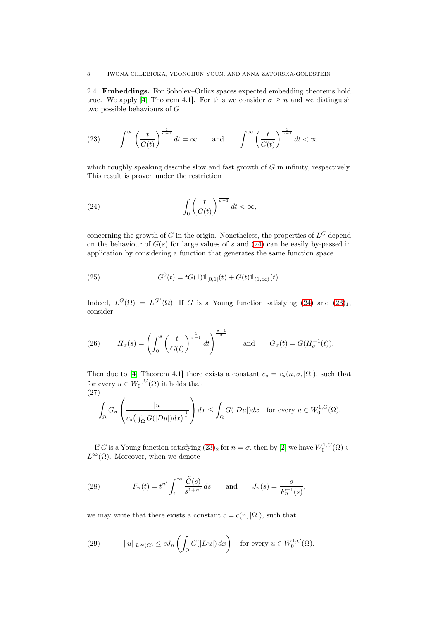<span id="page-7-1"></span>2.4. Embeddings. For Sobolev–Orlicz spaces expected embedding theorems hold true. We apply [\[4,](#page-18-12) Theorem 4.1]. For this we consider  $\sigma \geq n$  and we distinguish two possible behaviours of G

<span id="page-7-2"></span>(23) 
$$
\int^{\infty} \left(\frac{t}{G(t)}\right)^{\frac{1}{\sigma-1}} dt = \infty \quad \text{and} \quad \int^{\infty} \left(\frac{t}{G(t)}\right)^{\frac{1}{\sigma-1}} dt < \infty,
$$

which roughly speaking describe slow and fast growth of  $G$  in infinity, respectively. This result is proven under the restriction

<span id="page-7-3"></span>(24) 
$$
\int_0^{\infty} \left(\frac{t}{G(t)}\right)^{\frac{1}{\sigma-1}} dt < \infty,
$$

concerning the growth of G in the origin. Nonetheless, the properties of  $L^G$  depend on the behaviour of  $G(s)$  for large values of s and  $(24)$  can be easily by-passed in application by considering a function that generates the same function space

<span id="page-7-4"></span>(25) 
$$
G^{0}(t) = tG(1)\mathbb{1}_{[0,1]}(t) + G(t)\mathbb{1}_{(1,\infty)}(t).
$$

Indeed,  $L^G(\Omega) = L^{G^0}(\Omega)$ . If G is a Young function satisfying [\(24\)](#page-7-3) and [\(23\)](#page-7-2)<sub>1</sub>, consider

<span id="page-7-0"></span>(26) 
$$
H_{\sigma}(s) = \left(\int_0^s \left(\frac{t}{G(t)}\right)^{\frac{1}{\sigma-1}} dt\right)^{\frac{\sigma-1}{\sigma}} \quad \text{and} \quad G_{\sigma}(t) = G(H_{\sigma}^{-1}(t)).
$$

Then due to [\[4,](#page-18-12) Theorem 4.1] there exists a constant  $c_s = c_s(n, \sigma, |\Omega|)$ , such that for every  $u \in W_0^{1,G}(\Omega)$  it holds that (27)

<span id="page-7-5"></span>
$$
\int_{\Omega} G_{\sigma} \left( \frac{|u|}{c_s \left( \int_{\Omega} G(|Du|) dx \right)^{\frac{1}{\sigma}}} \right) dx \le \int_{\Omega} G(|Du|) dx \text{ for every } u \in W_0^{1,G}(\Omega).
$$

If G is a Young function satisfying  $(23)_2$  for  $n = \sigma$ , then by [\[2\]](#page-18-22) we have  $W_0^{1,G}(\Omega) \subset$  $L^{\infty}(\Omega)$ . Moreover, when we denote

(28) 
$$
F_n(t) = t^{n'} \int_t^{\infty} \frac{\widetilde{G}(s)}{s^{1+n'}} ds \quad \text{and} \quad J_n(s) = \frac{s}{F_n^{-1}(s)},
$$

we may write that there exists a constant  $c = c(n, |\Omega|)$ , such that

<span id="page-7-6"></span>(29) 
$$
||u||_{L^{\infty}(\Omega)} \le cJ_n\left(\int_{\Omega} G(|Du|) dx\right) \text{ for every } u \in W_0^{1,G}(\Omega).
$$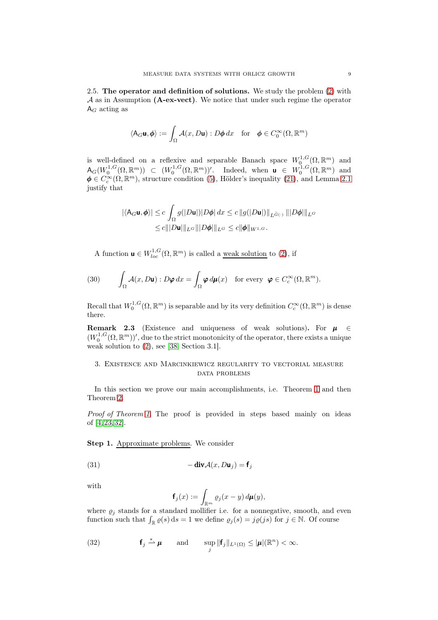2.5. The operator and definition of solutions. We study the problem [\(2\)](#page-1-0) with A as in Assumption (A-ex-vect). We notice that under such regime the operator  $A_G$  acting as

$$
\langle \mathsf{A}_G \mathbf{u}, \pmb{\phi} \rangle := \int_{\Omega} \mathcal{A}(x, D\mathbf{u}) : D\pmb{\phi} \, dx \quad \text{for} \quad \pmb{\phi} \in C_0^{\infty}(\Omega, \mathbb{R}^m)
$$

is well-defined on a reflexive and separable Banach space  $W_0^{1,G}(\Omega,\mathbb{R}^m)$  and  $\mathsf{A}_G(W_0^{1,G}(\Omega,\mathbb{R}^m)) \subset (W_0^{1,G}(\Omega,\mathbb{R}^m))'.$  Indeed, when  $\mathsf{u} \in W_0^{1,G}(\Omega,\mathbb{R}^m)$  and  $\phi \in C_c^{\infty}(\Omega, \mathbb{R}^m)$ , structure condition [\(5\)](#page-2-5), Hölder's inequality [\(21\)](#page-6-0), and Lemma [2.1](#page-5-0) justify that

$$
|\langle \mathsf{A}_{G}\mathbf{u}, \boldsymbol{\phi} \rangle| \le c \int_{\Omega} g(|D\mathbf{u}|) |D\boldsymbol{\phi}| \, dx \le c \, ||g(|D\mathbf{u}|)||_{L^{\widetilde{\sigma}(\cdot)}} \, |||D\boldsymbol{\phi}|||_{L^G}
$$
  

$$
\le c |||D\mathbf{u}|||_{L^G} |||D\boldsymbol{\phi}|||_{L^G} \le c ||\boldsymbol{\phi}||_{W^{1,G}}.
$$

A function  $\mathbf{u} \in W_{loc}^{1,G}(\Omega,\mathbb{R}^m)$  is called a <u>weak solution</u> to [\(2\)](#page-1-0), if

(30) 
$$
\int_{\Omega} \mathcal{A}(x, D\mathbf{u}) : D\boldsymbol{\varphi} dx = \int_{\Omega} \boldsymbol{\varphi} d\boldsymbol{\mu}(x) \text{ for every } \boldsymbol{\varphi} \in C_c^{\infty}(\Omega, \mathbb{R}^m).
$$

Recall that  $W_0^{1,G}(\Omega,\mathbb{R}^m)$  is separable and by its very definition  $C_c^{\infty}(\Omega,\mathbb{R}^m)$  is dense there.

<span id="page-8-0"></span>**Remark 2.3** (Existence and uniqueness of weak solutions). For  $\mu \in$  $(W_0^{1,G}(\Omega,\mathbb{R}^m))'$ , due to the strict monotonicity of the operator, there exists a unique weak solution to [\(2\)](#page-1-0), see [\[38,](#page-19-24) Section 3.1].

# 3. Existence and Marcinkiewicz regularity to vectorial measure DATA PROBLEMS

In this section we prove our main accomplishments, i.e. Theorem [1](#page-3-1) and then Theorem [2.](#page-3-2)

Proof of Theorem [1.](#page-3-1) The proof is provided in steps based mainly on ideas of [\[4,](#page-18-12) [23,](#page-18-5) [32\]](#page-19-8).

Step 1. Approximate problems. We consider

(31) 
$$
-\operatorname{div} A(x, D\mathbf{u}_j) = \mathbf{f}_j
$$

with

$$
\mathbf{f}_j(x) := \int_{\mathbb{R}^m} \varrho_j(x - y) \, d\boldsymbol{\mu}(y),
$$

where  $\varrho_j$  stands for a standard mollifier i.e. for a nonnegative, smooth, and even function such that  $\int_{\mathbb{R}} \varrho(s) ds = 1$  we define  $\varrho_j(s) = j\varrho(js)$  for  $j \in \mathbb{N}$ . Of course

<span id="page-8-1"></span>(32) 
$$
\mathbf{f}_j \stackrel{*}{\rightharpoonup} \boldsymbol{\mu}
$$
 and  $\sup_j \|\mathbf{f}_j\|_{L^1(\Omega)} \leq |\boldsymbol{\mu}|(\mathbb{R}^n) < \infty$ .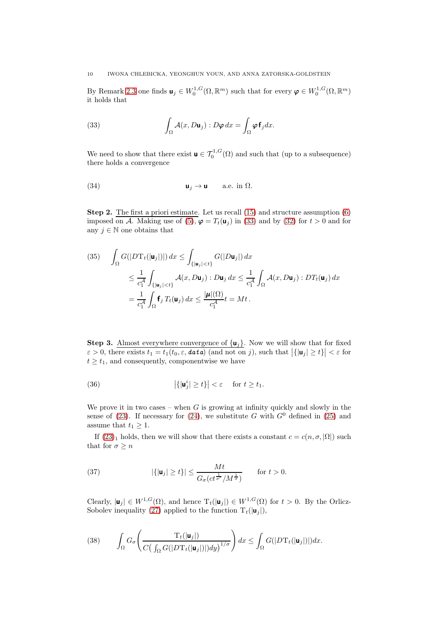By Remark [2.3](#page-8-0) one finds  $\mathbf{u}_j \in W_0^{1,G}(\Omega,\mathbb{R}^m)$  such that for every  $\boldsymbol{\varphi} \in W_0^{1,G}(\Omega,\mathbb{R}^m)$ it holds that

<span id="page-9-0"></span>(33) 
$$
\int_{\Omega} \mathcal{A}(x, D\mathbf{u}_j) : D\boldsymbol{\varphi} dx = \int_{\Omega} \boldsymbol{\varphi} \mathbf{f}_j dx.
$$

We need to show that there exist  $\mathbf{u} \in \mathcal{T}_0^{1,G}(\Omega)$  and such that (up to a subsequence) there holds a convergence

(34) 
$$
\mathbf{u}_j \to \mathbf{u} \quad \text{a.e. in } \Omega.
$$

**Step 2.** The first a priori estimate. Let us recall  $(15)$  and structure assumption  $(6)$ imposed on A. Making use of  $(5)$ ,  $\varphi = T_t(\mathbf{u}_i)$  in [\(33\)](#page-9-0) and by [\(32\)](#page-8-1) for  $t > 0$  and for any  $j \in \mathbb{N}$  one obtains that

<span id="page-9-1"></span>(35) 
$$
\int_{\Omega} G(|D\mathbf{T}_t(\vert \mathbf{u}_j \vert)|) dx \leq \int_{\{ \vert \mathbf{u}_j \vert < t \}} G(|D\mathbf{u}_j|) dx
$$
  
\n
$$
\leq \frac{1}{c_1^{\mathcal{A}}} \int_{\{ \vert \mathbf{u}_j \vert < t \}} \mathcal{A}(x, D\mathbf{u}_j) : D\mathbf{u}_j dx \leq \frac{1}{c_1^{\mathcal{A}}} \int_{\Omega} \mathcal{A}(x, D\mathbf{u}_j) : DT_t(\mathbf{u}_j) dx
$$
  
\n
$$
= \frac{1}{c_1^{\mathcal{A}}} \int_{\Omega} \mathbf{f}_j T_t(\mathbf{u}_j) dx \leq \frac{|\boldsymbol{\mu}|(\Omega)}{c_1^{\mathcal{A}}} t = Mt.
$$

**Step 3.** Almost everywhere convergence of  $\{u_i\}$ . Now we will show that for fixed  $\varepsilon > 0$ , there exists  $t_1 = t_1(t_0, \varepsilon, \text{data})$  (and not on j), such that  $|\{|\mathbf{u}_j| \ge t\}| < \varepsilon$  for  $t \geq t_1$ , and consequently, componentwise we have

<span id="page-9-3"></span>(36) 
$$
\left|\left\{|\mathbf{u}_j^i|\geq t\right\}\right|<\varepsilon \quad \text{ for } t\geq t_1.
$$

We prove it in two cases – when  $G$  is growing at infinity quickly and slowly in the sense of [\(23\)](#page-7-2). If necessary for [\(24\)](#page-7-3), we substitute G with  $G^0$  defined in [\(25\)](#page-7-4) and assume that  $t_1 \geq 1$ .

If  $(23)_1$  holds, then we will show that there exists a constant  $c = c(n, \sigma, |\Omega|)$  such that for  $\sigma \geq n$ 

<span id="page-9-2"></span>(37) 
$$
|\{|\mathbf{u}_j| \ge t\}| \le \frac{Mt}{G_{\sigma}(ct^{\frac{1}{\sigma'}}/M^{\frac{1}{\sigma}})} \quad \text{for } t > 0.
$$

Clearly,  $|\mathbf{u}_j| \in W^{1,G}(\Omega)$ , and hence  $T_t(|\mathbf{u}_j|) \in W^{1,G}(\Omega)$  for  $t > 0$ . By the Orlicz-Sobolev inequality [\(27\)](#page-7-5) applied to the function  $T_t(|\mathbf{u}_j|)$ ,

(38) 
$$
\int_{\Omega} G_{\sigma} \left( \frac{T_t(|\mathbf{u}_j|)}{C\left(\int_{\Omega} G(|D\mathbf{T}_t(|\mathbf{u}_j|)|)dy\right)^{1/\sigma}} \right) dx \leq \int_{\Omega} G(|D\mathbf{T}_t(|\mathbf{u}_j|)|) dx.
$$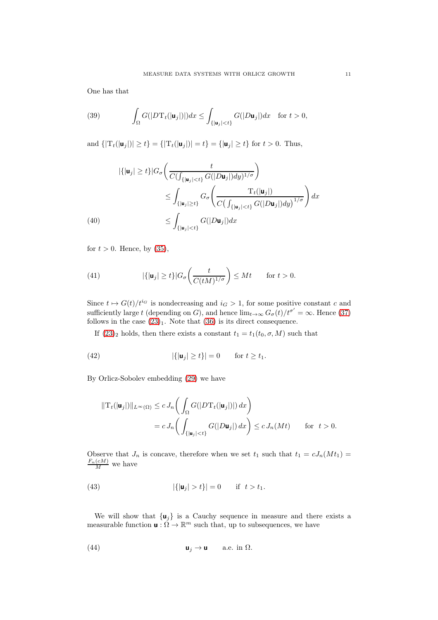One has that

(39) 
$$
\int_{\Omega} G(|D\mathbf{T}_{t}(|\mathbf{u}_{j}|)|)dx \leq \int_{\{|\mathbf{u}_{j}| < t\}} G(|D\mathbf{u}_{j}|)dx \text{ for } t > 0,
$$

and  $\{|\mathrm{T}_t(|\mathbf{u}_i|)| \ge t\} = \{|\mathrm{T}_t(|\mathbf{u}_i|)| = t\} = \{|\mathbf{u}_i| \ge t\}$  for  $t > 0$ . Thus,

$$
|\{|\mathbf{u}_j| \ge t\}|G_{\sigma}\left(\frac{t}{C(\int_{\{|\mathbf{u}_j| < t\}} G(|D\mathbf{u}_j|)dy)^{1/\sigma}}\right)
$$
\n
$$
\le \int_{\{|\mathbf{u}_j| \ge t\}} G_{\sigma}\left(\frac{T_t(|\mathbf{u}_j|)}{C(\int_{\{|\mathbf{u}_j| < t\}} G(|D\mathbf{u}_j|)dy)^{1/\sigma}}\right) dx
$$
\n
$$
\le \int_{\{|\mathbf{u}_j| < t\}} G(|D\mathbf{u}_j|) dx
$$

for  $t > 0$ . Hence, by [\(35\)](#page-9-1),

<span id="page-10-1"></span>(41) 
$$
|\{|\mathbf{u}_j| \ge t\}|G_{\sigma}\left(\frac{t}{C(tM)^{1/\sigma}}\right) \le Mt \quad \text{for } t > 0.
$$

Since  $t \mapsto G(t)/t^{i_G}$  is nondecreasing and  $i_G > 1$ , for some positive constant c and sufficiently large t (depending on G), and hence  $\lim_{t\to\infty} G_{\sigma}(t)/t^{\sigma'} = \infty$ . Hence [\(37\)](#page-9-2) follows in the case  $(23)_1$ . Note that  $(36)$  is its direct consequence.

<span id="page-10-2"></span>If  $(23)_2$  holds, then there exists a constant  $t_1 = t_1(t_0, \sigma, M)$  such that

(42) 
$$
|\{|\mathbf{u}_j| \ge t\}| = 0 \quad \text{for } t \ge t_1.
$$

By Orlicz-Sobolev embedding [\(29\)](#page-7-6) we have

$$
\begin{aligned} ||\mathbf{T}_t(|\mathbf{u}_j|)||_{L^{\infty}(\Omega)} &\leq c \, J_n\bigg(\int_{\Omega} G(|D\mathbf{T}_t(|\mathbf{u}_j|)|) \, dx\bigg) \\ &= c \, J_n\bigg(\int_{\{|\mathbf{u}_j| < t\}} G(|D\mathbf{u}_j|) \, dx\bigg) \leq c \, J_n(Mt) \qquad \text{for } t > 0. \end{aligned}
$$

Observe that  $J_n$  is concave, therefore when we set  $t_1$  such that  $t_1 = cJ_n(Mt_1) = \frac{F_n(cM)}{M}$  we have

(43) 
$$
|\{|\mathbf{u}_j| > t\}| = 0 \quad \text{if } t > t_1.
$$

We will show that  $\{u_j\}$  is a Cauchy sequence in measure and there exists a measurable function  $\mathbf{u}: \Omega \to \mathbb{R}^m$  such that, up to subsequences, we have

<span id="page-10-0"></span>(44) 
$$
\mathbf{u}_j \to \mathbf{u} \quad \text{a.e. in } \Omega.
$$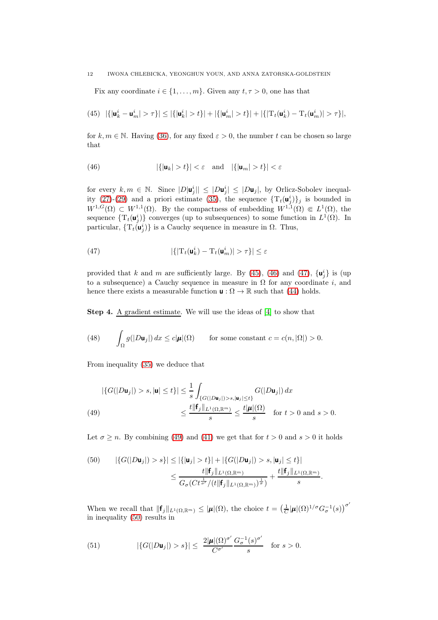Fix any coordinate  $i \in \{1, \ldots, m\}$ . Given any  $t, \tau > 0$ , one has that

<span id="page-11-0"></span>(45) 
$$
|\{|\mathbf{u}_k^i - \mathbf{u}_m^i| > \tau\}| \le |\{|\mathbf{u}_k^i| > t\}| + |\{|\mathbf{u}_m^i| > t\}| + |\{|\mathbf{T}_t(\mathbf{u}_k^i) - \mathbf{T}_t(\mathbf{u}_m^i)| > \tau\}|,
$$

for k,  $m \in \mathbb{N}$ . Having [\(36\)](#page-9-3), for any fixed  $\varepsilon > 0$ , the number t can be chosen so large that

<span id="page-11-1"></span>(46) 
$$
|\{|\mathbf{u}_k| > t\}| < \varepsilon \quad \text{and} \quad |\{|\mathbf{u}_m| > t\}| < \varepsilon
$$

for every  $k, m \in \mathbb{N}$ . Since  $|D|\mathbf{u}_j^i| \leq |D\mathbf{u}_j^i| \leq |D\mathbf{u}_j|$ , by Orlicz-Sobolev inequal-ity [\(27\)](#page-7-5)-[\(29\)](#page-7-6) and a priori estimate [\(35\)](#page-9-1), the sequence  $\{T_t(\mathbf{u}_j^i)\}_j$  is bounded in  $W^{1,G}(\Omega) \subset W^{1,1}(\Omega)$ . By the compactness of embedding  $W^{1,1}(\Omega) \in L^1(\Omega)$ , the sequence  $\{T_t(\mathbf{u}_j^i)\}\)$  converges (up to subsequences) to some function in  $L^1(\Omega)$ . In particular,  $\{T_t(u_j^i)\}\$ is a Cauchy sequence in measure in  $\Omega$ . Thus,

<span id="page-11-2"></span>(47) 
$$
|\{|\mathbf{T}_{t}(\mathbf{u}_{k}^{i}) - \mathbf{T}_{t}(\mathbf{u}_{m}^{i})| > \tau\}| \leq \varepsilon
$$

provided that k and m are sufficiently large. By [\(45\)](#page-11-0), [\(46\)](#page-11-1) and [\(47\)](#page-11-2),  $\{u_j^i\}$  is (up to a subsequence) a Cauchy sequence in measure in  $\Omega$  for any coordinate i, and hence there exists a measurable function  $\mathbf{u} : \Omega \to \mathbb{R}$  such that [\(44\)](#page-10-0) holds.

Step 4. A gradient estimate. We will use the ideas of [\[4\]](#page-18-12) to show that

<span id="page-11-6"></span>(48) 
$$
\int_{\Omega} g(|D\mathbf{u}_j|) dx \le c|\boldsymbol{\mu}|(\Omega) \quad \text{for some constant } c = c(n, |\Omega|) > 0.
$$

From inequality [\(35\)](#page-9-1) we deduce that

<span id="page-11-3"></span>
$$
\left| \{ G(|D\mathbf{u}_j|) > s, |\mathbf{u}| \le t \} \right| \le \frac{1}{s} \int_{\{ G(|D\mathbf{u}_j|) > s, |\mathbf{u}_j| \le t \}} G(|D\mathbf{u}_j|) dx
$$
  
(49)  

$$
\le \frac{t \|\mathbf{f}_j\|_{L^1(\Omega, \mathbb{R}^m)}}{s} \le \frac{t |\boldsymbol{\mu}|(\Omega)}{s} \quad \text{for } t > 0 \text{ and } s > 0.
$$

Let  $\sigma \geq n$ . By combining [\(49\)](#page-11-3) and [\(41\)](#page-10-1) we get that for  $t > 0$  and  $s > 0$  it holds

<span id="page-11-4"></span>(50) 
$$
|\{G(|D\mathbf{u}_j|) > s\}| \leq |\{\mathbf{u}_j| > t\}| + |\{G(|D\mathbf{u}_j|) > s, |\mathbf{u}_j| \leq t\}|
$$

$$
\leq \frac{t||\mathbf{f}_j||_{L^1(\Omega, \mathbb{R}^m)}}{G_{\sigma}(Ct^{\frac{1}{\sigma'}}/(t||\mathbf{f}_j||_{L^1(\Omega, \mathbb{R}^m)})^{\frac{1}{\sigma}})} + \frac{t||\mathbf{f}_j||_{L^1(\Omega, \mathbb{R}^m)}}{s}.
$$

When we recall that  $\|\mathbf{f}_j\|_{L^1(\Omega,\mathbb{R}^m)} \leq |\boldsymbol{\mu}|(\Omega)$ , the choice  $t = \left(\frac{1}{C}|\boldsymbol{\mu}|(\Omega)^{1/\sigma} G_{\sigma}^{-1}(s)\right)^{\sigma'}$ in inequality [\(50\)](#page-11-4) results in

<span id="page-11-5"></span>(51) 
$$
|\{G(|D\mathbf{u}_j|) > s\}| \leq \frac{2|\pmb{\mu}|(\Omega)^{\sigma'}}{C^{\sigma'}} \frac{G_{\sigma}^{-1}(s)^{\sigma'}}{s} \text{ for } s > 0.
$$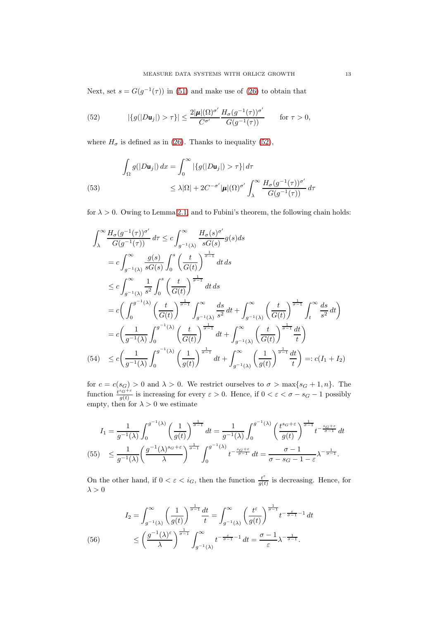Next, set  $s = G(g^{-1}(\tau))$  in [\(51\)](#page-11-5) and make use of [\(26\)](#page-7-0) to obtain that

<span id="page-12-0"></span>(52) 
$$
|\{g(|D\mathbf{u}_j|) > \tau\}| \leq \frac{2|\pmb{\mu}|(\Omega)^{\sigma'}}{C^{\sigma'}} \frac{H_{\sigma}(g^{-1}(\tau))^{\sigma'}}{G(g^{-1}(\tau))} \quad \text{for } \tau > 0,
$$

where  $H_{\sigma}$  is defined as in [\(26\)](#page-7-0). Thanks to inequality [\(52\)](#page-12-0),

<span id="page-12-3"></span>(53)  

$$
\int_{\Omega} g(|D\mathbf{u}_j|) dx = \int_0^{\infty} |\{g(|D\mathbf{u}_j|) > \tau\}| d\tau
$$

$$
\leq \lambda |\Omega| + 2C^{-\sigma'} |\boldsymbol{\mu}| (\Omega)^{\sigma'} \int_{\lambda}^{\infty} \frac{H_{\sigma}(g^{-1}(\tau))^{\sigma'}}{G(g^{-1}(\tau))} d\tau
$$

for  $\lambda > 0$ . Owing to Lemma [2.1,](#page-5-0) and to Fubini's theorem, the following chain holds:

$$
\int_{\lambda}^{\infty} \frac{H_{\sigma}(g^{-1}(\tau))^{\sigma'}}{G(g^{-1}(\tau))} d\tau \leq c \int_{g^{-1}(\lambda)}^{\infty} \frac{H_{\sigma}(s)^{\sigma'}}{sG(s)} g(s) ds
$$
\n
$$
= c \int_{g^{-1}(\lambda)}^{\infty} \frac{g(s)}{sG(s)} \int_{0}^{s} \left(\frac{t}{G(t)}\right)^{\frac{1}{\sigma-1}} dt ds
$$
\n
$$
\leq c \int_{g^{-1}(\lambda)}^{\infty} \frac{1}{s^2} \int_{0}^{s} \left(\frac{t}{G(t)}\right)^{\frac{1}{\sigma-1}} dt ds
$$
\n
$$
= c \left(\int_{0}^{g^{-1}(\lambda)} \left(\frac{t}{G(t)}\right)^{\frac{1}{\sigma-1}} \int_{g^{-1}(\lambda)}^{\infty} \frac{ds}{s^2} dt + \int_{g^{-1}(\lambda)}^{\infty} \left(\frac{t}{G(t)}\right)^{\frac{1}{\sigma-1}} \int_{t}^{\infty} \frac{ds}{s^2} dt\right)
$$
\n
$$
= c \left(\frac{1}{g^{-1}(\lambda)} \int_{0}^{g^{-1}(\lambda)} \left(\frac{t}{G(t)}\right)^{\frac{1}{\sigma-1}} dt + \int_{g^{-1}(\lambda)}^{\infty} \left(\frac{t}{G(t)}\right)^{\frac{1}{\sigma-1}} \frac{dt}{t}\right)
$$
\n(54) 
$$
\leq c \left(\frac{1}{g^{-1}(\lambda)} \int_{0}^{g^{-1}(\lambda)} \left(\frac{1}{g(t)}\right)^{\frac{1}{\sigma-1}} dt + \int_{g^{-1}(\lambda)}^{\infty} \left(\frac{1}{g(t)}\right)^{\frac{1}{\sigma-1}} \frac{dt}{t}\right) =: c(I_1 + I_2)
$$

<span id="page-12-1"></span>for  $c = c(s_G) > 0$  and  $\lambda > 0$ . We restrict ourselves to  $\sigma > \max\{s_G + 1, n\}$ . The function  $\frac{t^{s_G+\varepsilon}}{a(t)}$  $\frac{dg(c)}{g(t)}$  is increasing for every  $\varepsilon > 0$ . Hence, if  $0 < \varepsilon < \sigma - s_G - 1$  possibly empty, then for  $\lambda > 0$  we estimate

$$
I_1 = \frac{1}{g^{-1}(\lambda)} \int_0^{g^{-1}(\lambda)} \left(\frac{1}{g(t)}\right)^{\frac{1}{\sigma-1}} dt = \frac{1}{g^{-1}(\lambda)} \int_0^{g^{-1}(\lambda)} \left(\frac{t^{s_G+\varepsilon}}{g(t)}\right)^{\frac{1}{\sigma-1}} t^{-\frac{s_G+\varepsilon}{\sigma-1}} dt
$$
  
(55)  $\leq \frac{1}{g^{-1}(\lambda)} \left(\frac{g^{-1}(\lambda)^{s_G+\varepsilon}}{\lambda}\right)^{\frac{1}{\sigma-1}} \int_0^{g^{-1}(\lambda)} t^{-\frac{s_G+\varepsilon}{\sigma-1}} dt = \frac{\sigma-1}{\sigma-s_G-1-\varepsilon} \lambda^{-\frac{1}{\sigma-1}}.$ 

On the other hand, if  $0 < \varepsilon < i_G$ , then the function  $\frac{t^{\varepsilon}}{a(t)}$  $\frac{t^2}{g(t)}$  is decreasing. Hence, for  $\lambda > 0$ 

<span id="page-12-2"></span>(56) 
$$
I_2 = \int_{g^{-1}(\lambda)}^{\infty} \left(\frac{1}{g(t)}\right)^{\frac{1}{\sigma-1}} \frac{dt}{t} = \int_{g^{-1}(\lambda)}^{\infty} \left(\frac{t^{\varepsilon}}{g(t)}\right)^{\frac{1}{\sigma-1}} t^{-\frac{\varepsilon}{\sigma-1}-1} dt
$$

$$
\leq \left(\frac{g^{-1}(\lambda)^{\varepsilon}}{\lambda}\right)^{\frac{1}{\sigma-1}} \int_{g^{-1}(\lambda)}^{\infty} t^{-\frac{\varepsilon}{\sigma-1}-1} dt = \frac{\sigma-1}{\varepsilon} \lambda^{-\frac{1}{\sigma-1}}.
$$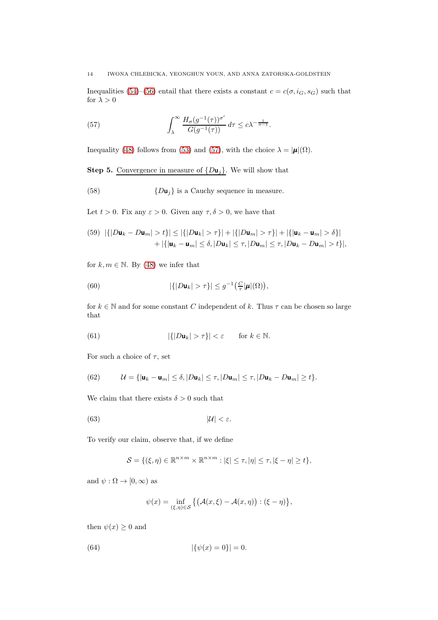Inequalities [\(54\)](#page-12-1)–[\(56\)](#page-12-2) entail that there exists a constant  $c = c(\sigma, i_G, s_G)$  such that for  $\lambda > 0$ 

<span id="page-13-0"></span>(57) 
$$
\int_{\lambda}^{\infty} \frac{H_{\sigma}(g^{-1}(\tau))^{\sigma'}}{G(g^{-1}(\tau))} d\tau \leq c \lambda^{-\frac{1}{\sigma-1}}.
$$

Inequality [\(48\)](#page-11-6) follows from [\(53\)](#page-12-3) and [\(57\)](#page-13-0), with the choice  $\lambda = |\mu|(\Omega)$ .

**Step 5.** Convergence in measure of  $\{D\mathbf{u}_j\}$ . We will show that

<span id="page-13-4"></span>(58)  ${D**u**<sub>i</sub>}$  is a Cauchy sequence in measure.

Let  $t > 0$ . Fix any  $\varepsilon > 0$ . Given any  $\tau, \delta > 0$ , we have that

<span id="page-13-2"></span>(59) 
$$
|\{|Du_k - Du_m| > t\}| \le |\{|Du_k| > \tau\}| + |\{|Du_m| > \tau\}| + |\{|u_k - u_m| > \delta\}|
$$
  
  $+ |\{|u_k - u_m| \le \delta, |Du_k| \le \tau, |Du_m| \le \tau, |Du_k - Du_m| > t\}|,$ 

for  $k, m \in \mathbb{N}$ . By [\(48\)](#page-11-6) we infer that

(60) 
$$
|\{|D\mathbf{u}_k| > \tau\}| \leq g^{-1}\big(\frac{C}{\tau}|\boldsymbol{\mu}|(\Omega)\big),
$$

for  $k \in \mathbb{N}$  and for some constant C independent of k. Thus  $\tau$  can be chosen so large that

<span id="page-13-3"></span>(61) 
$$
|\{|D\mathbf{u}_k| > \tau\}| < \varepsilon \quad \text{for } k \in \mathbb{N}.
$$

For such a choice of  $\tau$ , set

(62) 
$$
\mathcal{U} = \{ |\mathbf{u}_k - \mathbf{u}_m| \le \delta, |D\mathbf{u}_k| \le \tau, |D\mathbf{u}_m| \le \tau, |D\mathbf{u}_k - D\mathbf{u}_m| \ge t \}.
$$

We claim that there exists  $\delta > 0$  such that

$$
(63) \t\t |U| < \varepsilon.
$$

To verify our claim, observe that, if we define

<span id="page-13-1"></span>
$$
\mathcal{S} = \{(\xi, \eta) \in \mathbb{R}^{n \times m} \times \mathbb{R}^{n \times m} : |\xi| \le \tau, |\eta| \le \tau, |\xi - \eta| \ge t\},\
$$

and  $\psi : \Omega \to [0, \infty)$  as

$$
\psi(x) = \inf_{(\xi,\eta)\in\mathcal{S}} \left\{ \left( \mathcal{A}(x,\xi) - \mathcal{A}(x,\eta) \right) : (\xi - \eta) \right\},\
$$

then  $\psi(x) \geq 0$  and

(64) 
$$
|\{\psi(x) = 0\}| = 0.
$$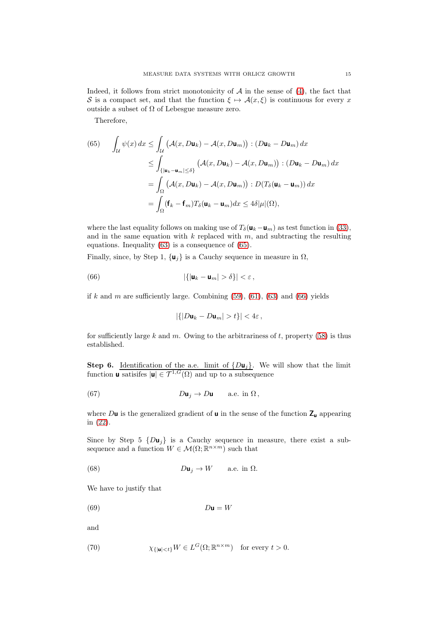Indeed, it follows from strict monotonicity of  $A$  in the sense of  $(4)$ , the fact that S is a compact set, and that the function  $\xi \mapsto \mathcal{A}(x,\xi)$  is continuous for every x outside a subset of  $\Omega$  of Lebesgue measure zero.

Therefore,

<span id="page-14-0"></span>(65) 
$$
\int_{\mathcal{U}} \psi(x) dx \leq \int_{\mathcal{U}} \left( \mathcal{A}(x, D\mathbf{u}_k) - \mathcal{A}(x, D\mathbf{u}_m) \right) : (D\mathbf{u}_k - D\mathbf{u}_m) dx
$$

$$
\leq \int_{\{|\mathbf{u}_k - \mathbf{u}_m| \leq \delta\}} \left( \mathcal{A}(x, D\mathbf{u}_k) - \mathcal{A}(x, D\mathbf{u}_m) \right) : (D\mathbf{u}_k - D\mathbf{u}_m) dx
$$

$$
= \int_{\Omega} \left( \mathcal{A}(x, D\mathbf{u}_k) - \mathcal{A}(x, D\mathbf{u}_m) \right) : D(T_\delta(\mathbf{u}_k - \mathbf{u}_m)) dx
$$

$$
= \int_{\Omega} (\mathbf{f}_k - \mathbf{f}_m) T_\delta(\mathbf{u}_k - \mathbf{u}_m) dx \leq 4\delta |\mu|(\Omega),
$$

where the last equality follows on making use of  $T_\delta(\mathbf{u}_k-\mathbf{u}_m)$  as test function in [\(33\)](#page-9-0), and in the same equation with  $k$  replaced with  $m$ , and subtracting the resulting equations. Inequality [\(63\)](#page-13-1) is a consequence of [\(65\)](#page-14-0).

Finally, since, by Step 1,  $\{u_j\}$  is a Cauchy sequence in measure in  $\Omega$ ,

(66) 
$$
|\{|\mathbf{u}_k - \mathbf{u}_m| > \delta\}| < \varepsilon,
$$

if k and m are sufficiently large. Combining  $(59)$ ,  $(61)$ ,  $(63)$  and  $(66)$  yields

<span id="page-14-4"></span><span id="page-14-1"></span>
$$
|\{|D\mathbf{u}_k - D\mathbf{u}_m| > t\}| < 4\varepsilon
$$

for sufficiently large k and m. Owing to the arbitrariness of t, property  $(58)$  is thus established.

**Step 6.** Identification of the a.e. limit of  $\{D\mathbf{u}_j\}$ . We will show that the limit function **u** satisifes  $|\mathbf{u}| \in \mathcal{T}^{1,G}(\Omega)$  and up to a subsequence

(67) 
$$
D\mathbf{u}_j \to D\mathbf{u} \quad \text{a.e. in } \Omega,
$$

where  $D\mathbf{u}$  is the generalized gradient of  $\mathbf{u}$  in the sense of the function  $\mathsf{Z}_\mathbf{u}$  appearing in [\(22\)](#page-6-1).

Since by Step 5  $\{Du_i\}$  is a Cauchy sequence in measure, there exist a subsequence and a function  $W \in \mathcal{M}(\Omega;\mathbb{R}^{n \times m})$  such that

(68) 
$$
D\mathbf{u}_j \to W \quad \text{a.e. in } \Omega.
$$

We have to justify that

<span id="page-14-2"></span>(69) Du = W

and

<span id="page-14-3"></span>(70) 
$$
\chi_{\{|{\bf u}| < t\}} W \in L^G(\Omega; \mathbb{R}^{n \times m}) \text{ for every } t > 0.
$$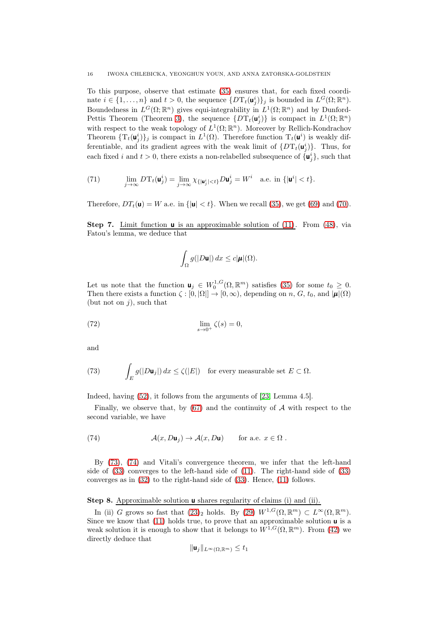To this purpose, observe that estimate [\(35\)](#page-9-1) ensures that, for each fixed coordinate  $i \in \{1, ..., n\}$  and  $t > 0$ , the sequence  $\{D T_t(\mathbf{u}_j^i)\}_j$  is bounded in  $L^G(\Omega; \mathbb{R}^n)$ . Boundedness in  $L^G(\Omega;\mathbb{R}^n)$  gives equi-integrability in  $L^1(\Omega;\mathbb{R}^n)$  and by Dunford-Pettis Theorem (Theorem [3\)](#page-6-2), the sequence  $\{DT_t(\mathbf{u}_j^i)\}\$ is compact in  $L^1(\Omega;\mathbb{R}^n)$ with respect to the weak topology of  $L^1(\Omega;\mathbb{R}^n)$ . Moreover by Rellich-Kondrachov Theorem  $\{T_t(\mathbf{u}_j^i)\}_j$  is compact in  $L^1(\Omega)$ . Therefore function  $T_t(\mathbf{u}^i)$  is weakly differentiable, and its gradient agrees with the weak limit of  $\{DT_t(\mathbf{u}_j^i)\}\$ . Thus, for each fixed i and  $t > 0$ , there exists a non-relabelled subsequence of  $\{u_j^i\}$ , such that

(71) 
$$
\lim_{j \to \infty} D\mathrm{T}_t(\mathbf{u}_j^i) = \lim_{j \to \infty} \chi_{\{|\mathbf{u}_j^i| < t\}} D\mathbf{u}_j^i = W^i \quad \text{a.e. in } \{|\mathbf{u}^i| < t\}.
$$

Therefore,  $DT_t(\mathbf{u}) = W$  a.e. in  $\{|\mathbf{u}| < t\}$ . When we recall [\(35\)](#page-9-1), we get [\(69\)](#page-14-2) and [\(70\)](#page-14-3).

**Step 7.** Limit function  $\boldsymbol{\mu}$  is an approximable solution of [\(11\)](#page-3-3). From [\(48\)](#page-11-6), via Fatou's lemma, we deduce that

$$
\int_{\Omega} g(|D\mathbf{u}|) dx \leq c |\pmb{\mu}|(\Omega).
$$

Let us note that the function  $\mathbf{u}_j \in W_0^{1,G}(\Omega,\mathbb{R}^m)$  satisfies [\(35\)](#page-9-1) for some  $t_0 \geq 0$ . Then there exists a function  $\zeta : [0, |\Omega|] \to [0, \infty)$ , depending on n, G, t<sub>0</sub>, and  $|\mu|(\Omega)$ (but not on  $j$ ), such that

(72) 
$$
\lim_{s \to 0^+} \zeta(s) = 0,
$$

and

<span id="page-15-0"></span>(73) 
$$
\int_E g(|D\mathbf{u}_j|) dx \le \zeta(|E|) \text{ for every measurable set } E \subset \Omega.
$$

Indeed, having [\(52\)](#page-12-0), it follows from the arguments of [\[23,](#page-18-5) Lemma 4.5].

Finally, we observe that, by  $(67)$  and the continuity of A with respect to the second variable, we have

<span id="page-15-1"></span>(74) 
$$
\mathcal{A}(x, D\mathbf{u}_j) \to \mathcal{A}(x, D\mathbf{u}) \quad \text{for a.e. } x \in \Omega.
$$

By [\(73\)](#page-15-0), [\(74\)](#page-15-1) and Vitali's convergence theorem, we infer that the left-hand side of [\(33\)](#page-9-0) converges to the left-hand side of [\(11\)](#page-3-3). The right-hand side of [\(33\)](#page-9-0) converges as in [\(32\)](#page-8-1) to the right-hand side of [\(33\)](#page-9-0). Hence, [\(11\)](#page-3-3) follows.

Step 8. Approximable solution **u** shares regularity of claims (i) and (ii).

In (ii) G grows so fast that  $(23)_2$  holds. By  $(29)$   $W^{1,G}(\Omega,\mathbb{R}^m) \subset L^{\infty}(\Omega,\mathbb{R}^m)$ . Since we know that [\(11\)](#page-3-3) holds true, to prove that an approximable solution  $\boldsymbol{\mathsf{u}}$  is a weak solution it is enough to show that it belongs to  $W^{1,G}(\Omega,\mathbb{R}^m)$ . From [\(42\)](#page-10-2) we directly deduce that

$$
\|\mathbf{u}_j\|_{L^{\infty}(\Omega,\mathbb{R}^m)} \le t_1
$$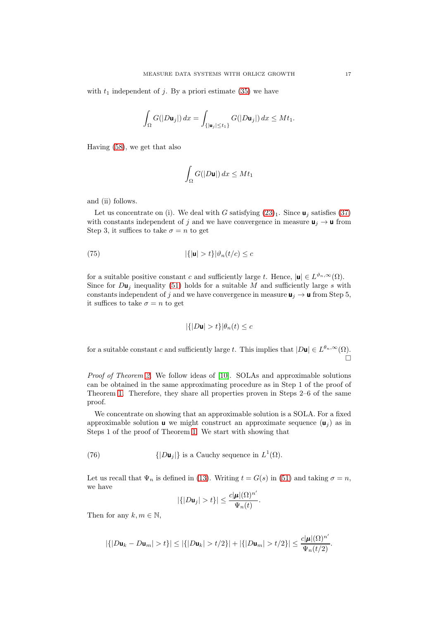with  $t_1$  independent of j. By a priori estimate [\(35\)](#page-9-1) we have

$$
\int_{\Omega} G(|D\mathbf{u}_j|)\,dx = \int_{\{|\mathbf{u}_j|\leq t_1\}} G(|D\mathbf{u}_j|)\,dx \leq Mt_1.
$$

Having [\(58\)](#page-13-4), we get that also

$$
\int_{\Omega} G(|D\mathbf{u}|) dx \le Mt_1
$$

and (ii) follows.

Let us concentrate on (i). We deal with G satisfying  $(23)_1$ . Since  $\mathbf{u}_i$  satisfies [\(37\)](#page-9-2) with constants independent of j and we have convergence in measure  $\mathbf{u}_j \to \mathbf{u}$  from Step 3, it suffices to take  $\sigma = n$  to get

(75) 
$$
|\{|\mathbf{u}| > t\}|\vartheta_n(t/c) \leq c
$$

for a suitable positive constant c and sufficiently large t. Hence,  $|\mathbf{u}| \in L^{\vartheta_n,\infty}(\Omega)$ . Since for  $D\mathbf{u}_j$  inequality [\(51\)](#page-11-5) holds for a suitable M and sufficiently large s with constants independent of j and we have convergence in measure  $\mathbf{u}_i \to \mathbf{u}$  from Step 5, it suffices to take  $\sigma = n$  to get

$$
|\{|D\mathbf{u}| > t\}|\theta_n(t) \le c
$$

for a suitable constant c and sufficiently large t. This implies that  $|D\mathbf{u}| \in L^{\theta_n,\infty}(\Omega)$ .  $\Box$ 

Proof of Theorem [2.](#page-3-2) We follow ideas of [\[10\]](#page-18-7). SOLAs and approximable solutions can be obtained in the same approximating procedure as in Step 1 of the proof of Theorem [1.](#page-3-1) Therefore, they share all properties proven in Steps 2–6 of the same proof.

We concentrate on showing that an approximable solution is a SOLA. For a fixed approximable solution **u** we might construct an approximate sequence  $(\mathbf{u}_i)$  as in Steps 1 of the proof of Theorem [1.](#page-3-1) We start with showing that

(76) 
$$
\{|D{\mathbf{u}}_j|\}
$$
 is a Cauchy sequence in  $L^1(\Omega)$ .

Let us recall that  $\Psi_n$  is defined in [\(13\)](#page-3-0). Writing  $t = G(s)$  in [\(51\)](#page-11-5) and taking  $\sigma = n$ , we have  $\sqrt{2}$ 

<span id="page-16-0"></span>
$$
|\{|D\mathbf{u}_j| > t\}| \leq \frac{c|\boldsymbol{\mu}|(\Omega)^{n'}}{\Psi_n(t)}.
$$

Then for any  $k, m \in \mathbb{N}$ ,

$$
|\{|D{\bf u}_k-D{\bf u}_m|>t\}|\leq |\{|D{\bf u}_k|>t/2\}|+|\{|D{\bf u}_m|>t/2\}|\leq \frac{c|{\pmb \mu}|(\Omega)^{n'}}{\Psi_n(t/2)}.
$$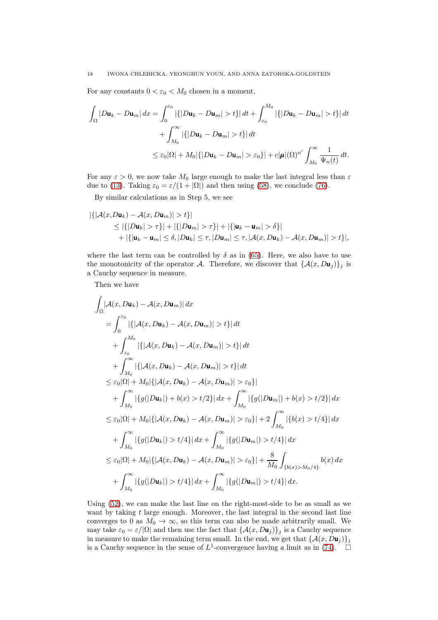### 18 IWONA CHLEBICKA, YEONGHUN YOUN, AND ANNA ZATORSKA-GOLDSTEIN

For any constants  $0 < \varepsilon_0 < M_0$  chosen in a moment,

$$
\int_{\Omega} |D\mathbf{u}_k - D\mathbf{u}_m| dx = \int_0^{\varepsilon_0} |\{|Du_k - Du_m| > t\}| dt + \int_{\varepsilon_0}^{M_0} |\{|Du_k - Du_m| > t\}| dt
$$
  
+ 
$$
\int_{M_0}^{\infty} |\{|Du_k - Du_m| > t\}| dt
$$
  

$$
\leq \varepsilon_0 |\Omega| + M_0 |\{|Du_k - Du_m| > \varepsilon_0\}| + c|\mu| (\Omega)^{n'} \int_{M_0}^{\infty} \frac{1}{\Psi_n(t)} dt.
$$

For any  $\varepsilon > 0$ , we now take  $M_0$  large enough to make the last integral less than  $\varepsilon$ due to [\(13\)](#page-3-0). Taking  $\varepsilon_0 = \varepsilon/(1 + |\Omega|)$  and then using [\(58\)](#page-13-4), we conclude [\(76\)](#page-16-0).

By similar calculations as in Step 5, we see

$$
|\{|A(x,D\mathbf{u}_k)-A(x,D\mathbf{u}_m)|>t\}|
$$
  
\n
$$
\leq |\{|D\mathbf{u}_k|>\tau\}|+|\{|D\mathbf{u}_m|>\tau\}|+|\{|\mathbf{u}_k-\mathbf{u}_m|>\delta\}|
$$
  
\n
$$
+|\{| \mathbf{u}_k-\mathbf{u}_m|\leq \delta, |D\mathbf{u}_k|\leq \tau, |D\mathbf{u}_m|\leq \tau, |A(x,D\mathbf{u}_k)-A(x,D\mathbf{u}_m)|>t\}|,
$$

where the last term can be controlled by  $\delta$  as in [\(65\)](#page-14-0). Here, we also have to use the monotonicity of the operator A. Therefore, we discover that  $\{\mathcal{A}(x, D\mathbf{u}_j)\}_j$  is a Cauchy sequence in measure.

Then we have

$$
\int_{\Omega} |A(x, D\mathbf{u}_{k}) - A(x, D\mathbf{u}_{m})| dx
$$
\n=
$$
\int_{0}^{\varepsilon_{0}} |\{|A(x, D\mathbf{u}_{k}) - A(x, D\mathbf{u}_{m})| > t\}| dt
$$
\n+
$$
\int_{\varepsilon_{0}}^{M_{0}} |\{|A(x, D\mathbf{u}_{k}) - A(x, D\mathbf{u}_{m})| > t\}| dt
$$
\n+
$$
\int_{M_{0}}^{\infty} |\{|A(x, D\mathbf{u}_{k}) - A(x, D\mathbf{u}_{m})| > t\}| dt
$$
\n
$$
\leq \varepsilon_{0} |\Omega| + M_{0} |\{|A(x, D\mathbf{u}_{k}) - A(x, D\mathbf{u}_{m})| > \varepsilon_{0}\}|
$$
\n+
$$
\int_{M_{0}}^{\infty} |\{g(|D\mathbf{u}_{k}|) + b(x) > t/2\}| dx + \int_{M_{0}}^{\infty} |\{g(|D\mathbf{u}_{m}|) + b(x) > t/2\}| dx
$$
\n
$$
\leq \varepsilon_{0} |\Omega| + M_{0} |\{|A(x, D\mathbf{u}_{k}) - A(x, D\mathbf{u}_{m})| > \varepsilon_{0}\}| + 2 \int_{M_{0}}^{\infty} |\{b(x) > t/4\}| dx
$$
\n+
$$
\int_{M_{0}}^{\infty} |\{g(|D\mathbf{u}_{k}|) > t/4\}| dx + \int_{M_{0}}^{\infty} |\{g(|D\mathbf{u}_{m}|) > t/4\}| dx
$$
\n
$$
\leq \varepsilon_{0} |\Omega| + M_{0} |\{|A(x, D\mathbf{u}_{k}) - A(x, D\mathbf{u}_{m})| > \varepsilon_{0}\}| + \frac{8}{M_{0}} \int_{\{b(x) > M_{0}/4\}} b(x) dx
$$
\n+
$$
\int_{M_{0}}^{\infty} |\{g(|D\mathbf{u}_{k}|) > t/4\}| dx + \int_{M_{0}}^{\infty} |\{g(|D\mathbf{u}_{m}|) > t/4\}| dx
$$

Using [\(52\)](#page-12-0), we can make the last line on the right-most-side to be as small as we want by taking  $t$  large enough. Moreover, the last integral in the second last line converges to 0 as  $M_0 \to \infty$ , so this term can also be made arbitrarily small. We may take  $\varepsilon_0 = \varepsilon/|\Omega|$  and then use the fact that  $\{\mathcal{A}(x, D\mathbf{u}_i)\}\$ is a Cauchy sequence in measure to make the remaining term small. In the end, we get that  $\{A(x, D_{\mathbf{u}_i})\}_i$ is a Cauchy sequence in the sense of  $L^1$ -convergence having a limit as in [\(74\)](#page-15-1).  $\Box$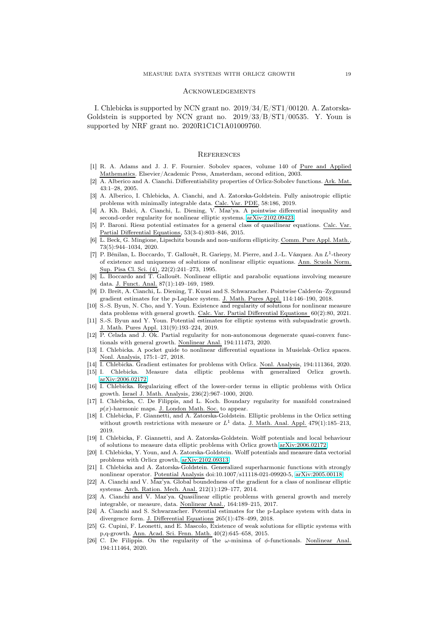## **ACKNOWLEDGEMENTS**

I. Chlebicka is supported by NCN grant no. 2019/34/E/ST1/00120. A. Zatorska-Goldstein is supported by NCN grant no. 2019/33/B/ST1/00535. Y. Youn is supported by NRF grant no. 2020R1C1C1A01009760.

#### **REFERENCES**

- <span id="page-18-21"></span>[1] R. A. Adams and J. J. F. Fournier. Sobolev spaces, volume 140 of Pure and Applied Mathematics. Elsevier/Academic Press, Amsterdam, second edition, 2003.
- <span id="page-18-22"></span>[2] A. Alberico and A. Cianchi. Differentiability properties of Orlicz-Sobolev functions. Ark. Mat. 43:1–28, 2005.
- <span id="page-18-2"></span>[3] A. Alberico, I. Chlebicka, A. Cianchi, and A. Zatorska-Goldstein. Fully anisotropic elliptic problems with minimally integrable data. Calc. Var. PDE, 58:186, 2019.
- <span id="page-18-12"></span>[4] A. Kh. Balci, A. Cianchi, L. Diening, V. Maz'ya. A pointwise differential inequality and second-order regularity for nonlinear elliptic systems. [arXiv:2102.09423.](http://arxiv.org/abs/2102.09423)
- <span id="page-18-6"></span>[5] P. Baroni. Riesz potential estimates for a general class of quasilinear equations. Calc. Var. Partial Differential Equations, 53(3-4):803–846, 2015.
- <span id="page-18-16"></span>[6] L. Beck, G. Mingione, Lipschitz bounds and non-uniform ellipticity. Comm. Pure Appl. Math. 73(5):944–1034, 2020.
- <span id="page-18-0"></span>[7] P. Bénilan, L. Boccardo, T. Gallouët, R. Gariepy, M. Pierre, and J.-L. Vázquez. An L<sup>1</sup>-theory of existence and uniqueness of solutions of nonlinear elliptic equations. Ann. Scuola Norm. Sup. Pisa Cl. Sci. (4), 22(2):241–273, 1995.
- <span id="page-18-1"></span> $\overline{L}$ . Boccardo and T. Gallouët. Nonlinear elliptic and parabolic equations involving measure data. J. Funct. Anal. 87(1):149–169, 1989.
- [9] D. Breit, A. Cianchi, L. Diening, T. Kuusi and S. Schwarzacher. Pointwise Calderón–Zygmund gradient estimates for the p-Laplace system. J. Math. Pures Appl. 114:146–190, 2018.
- <span id="page-18-7"></span>[10] S.-S. Byun, N. Cho, and Y. Youn. Existence and regularity of solutions for nonlinear measure data problems with general growth. Calc. Var. Partial Differential Equations 60(2):80, 2021.
- <span id="page-18-13"></span>[11] S.-S. Byun and Y. Youn. Potential estimates for elliptic systems with subquadratic growth. J. Math. Pures Appl. 131(9):193–224, 2019.
- [12] P. Celada and J. Ok. Partial regularity for non-autonomous degenerate quasi-convex functionals with general growth. Nonlinear Anal. 194:111473, 2020.
- <span id="page-18-19"></span>[13] I. Chlebicka. A pocket guide to nonlinear differential equations in Musielak–Orlicz spaces. Nonl. Analysis, 175:1–27, 2018.
- <span id="page-18-8"></span><span id="page-18-3"></span>[14] I. Chlebicka. Gradient estimates for problems with Orlicz. Nonl. Analysis, 194:111364, 2020.
- [15] I. Chlebicka. Measure data elliptic problems with generalized Orlicz growth. [arXiv:2006.02172.](http://arxiv.org/abs/2006.02172)
- <span id="page-18-9"></span>[16] I. Chlebicka. Regularizing effect of the lower-order terms in elliptic problems with Orlicz growth. Israel J. Math. Analysis, 236(2):967–1000, 2020.
- <span id="page-18-17"></span>[17] I. Chlebicka, C. De Filippis, and L. Koch. Boundary regularity for manifold constrained  $p(x)$ -harmonic maps. J. London Math. Soc. to appear.
- <span id="page-18-4"></span>[18] I. Chlebicka, F. Giannetti, and A. Zatorska-Goldstein. Elliptic problems in the Orlicz setting without growth restrictions with measure or  $L^1$  data. J. Math. Anal. Appl. 479(1):185–213, 2019.
- <span id="page-18-10"></span>[19] I. Chlebicka, F. Giannetti, and A. Zatorska-Goldstein. Wolff potentials and local behaviour of solutions to measure data elliptic problems with Orlicz growth [arXiv:2006.02172.](http://arxiv.org/abs/2006.02172)
- <span id="page-18-20"></span>[20] I. Chlebicka, Y. Youn, and A. Zatorska-Goldstein. Wolff potentials and measure data vectorial problems with Orlicz growth, [arXiv:2102.09313.](http://arxiv.org/abs/2102.09313)
- [21] I. Chlebicka and A. Zatorska-Goldstein. Generalized superharmonic functions with strongly nonlinear operator. Potential Analysis doi:10.1007/s11118-021-09920-5, [arXiv:2005.00118.](http://arxiv.org/abs/2005.00118)
- <span id="page-18-14"></span>[22] A. Cianchi and V. Maz'ya. Global boundedness of the gradient for a class of nonlinear elliptic systems. Arch. Ration. Mech. Anal. 212(1):129–177, 2014.
- <span id="page-18-5"></span>[23] A. Cianchi and V. Maz'ya. Quasilinear elliptic problems with general growth and merely integrable, or measure, data. Nonlinear Anal., 164:189–215, 2017.
- <span id="page-18-15"></span>[24] A. Cianchi and S. Schwarzacher. Potential estimates for the p-Laplace system with data in divergence form. J. Differential Equations 265(1):478–499, 2018.
- <span id="page-18-11"></span>[25] G. Cupini, F. Leonetti, and E. Mascolo, Existence of weak solutions for elliptic systems with p,q-growth. Ann. Acad. Sci. Fenn. Math. 40(2):645–658, 2015.
- <span id="page-18-18"></span>[26] C. De Filippis. On the regularity of the  $\omega$ -minima of  $\phi$ -functionals. Nonlinear Anal. 194:111464, 2020.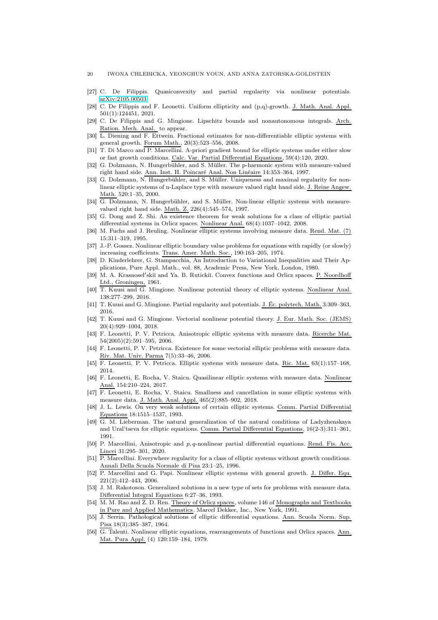- <span id="page-19-23"></span><span id="page-19-17"></span>[27] C. De Filippis. Quasiconvexity and partial regularity via nonlinear potentials. [arXiv:2105.00503.](http://arxiv.org/abs/2105.00503)
- <span id="page-19-18"></span>[28] C. De Filippis and F. Leonetti. Uniform ellipticity and (p,q)-growth. J. Math. Anal. Appl. 501(1):124451, 2021.
- [29] C. De Filippis and G. Mingione. Lipschitz bounds and nonautonomous integrals. Arch. Ration. Mech. Anal. to appear.
- <span id="page-19-12"></span>[30] L. Diening and F. Ettwein. Fractional estimates for non-differentiable elliptic systems with general growth. Forum Math., 20(3):523–556, 2008.
- <span id="page-19-13"></span>[31] T. Di Marco and P. Marcellini. A-priori gradient bound for elliptic systems under either slow or fast growth conditions. Calc. Var. Partial Differential Equations, 59(4):120, 2020.
- <span id="page-19-8"></span>[32] G. Dolzmann, N. Hungerbühler, and S. Müller. The p-harmonic system with measure-valued right hand side. Ann. Inst. H. Poincaré Anal. Non Linéaire 14:353–364, 1997.
- [33] G. Dolzmann, N. Hungerbühler, and S. Müller. Uniqueness and maximal regularity for nonlinear elliptic systems of n-Laplace type with measure valued right hand side. J. Reine Angew. Math. 520:1–35, 2000.
- <span id="page-19-9"></span>[34] G. Dolzmann, N. Hungerbühler, and S. Müller. Non-linear elliptic systems with measurevalued right hand side. Math. Z. 226(4):545–574, 1997.
- <span id="page-19-4"></span>[35] G. Dong and Z. Shi. An existence theorem for weak solutions for a class of elliptic partial differential systems in Orlicz spaces. Nonlinear Anal. 68(4):1037–1042, 2008.
- <span id="page-19-5"></span>[36] M. Fuchs and J. Reuling. Nonlinear elliptic systems involving measure data. Rend. Mat. (7) 15:311–319, 1995.
- <span id="page-19-1"></span>[37] J.-P. Gossez. Nonlinear elliptic boundary value problems for equations with rapidly (or slowly) increasing coefficients. Trans. Amer. Math. Soc., 190:163–205, 1974.
- <span id="page-19-24"></span>[38] D. Kinderlehrer, G. Stampacchia, An Introduction to Variational Inequalities and Their Applications, Pure Appl. Math., vol. 88, Academic Press, New York, London, 1980.
- <span id="page-19-21"></span>[39] M. A. Krasnosel'skiĭ and Ya. B. Rutickiĭ. Convex functions and Orlicz spaces. P. Noordhoff Ltd., Groningen, 1961.
- <span id="page-19-19"></span>[40] T. Kuusi and G. Mingione. Nonlinear potential theory of elliptic systems. Nonlinear Anal. 138:277–299, 2016.
- <span id="page-19-15"></span><span id="page-19-14"></span>[41] T. Kuusi and G. Mingione. Partial regularity and potentials. J. Éc. polytech. Math. 3:309–363, 2016.
- [42] T. Kuusi and G. Mingione. Vectorial nonlinear potential theory. J. Eur. Math. Soc. (JEMS) 20(4):929–1004, 2018.
- <span id="page-19-10"></span>[43] F. Leonetti, P. V. Petricca. Anisotropic elliptic systems with measure data. Ricerche Mat. 54(2005)(2):591–595, 2006.
- [44] F. Leonetti, P. V. Petricca. Existence for some vectorial elliptic problems with measure data. Riv. Mat. Univ. Parma 7(5):33–46, 2006.
- [45] F. Leonetti, P. V. Petricca. Elliptic systems with measure data. Ric. Mat. 63(1):157–168, 2014.
- [46] F. Leonetti, E. Rocha, V. Staicu. Quasilinear elliptic systems with measure data. Nonlinear Anal. 154:210–224, 2017.
- <span id="page-19-11"></span>[47] F. Leonetti, E. Rocha, V. Staicu. Smallness and cancellation in some elliptic systems with measure data. J. Math. Anal. Appl. 465(2):885–902, 2018.
- <span id="page-19-6"></span>[48] J. L. Lewis. On very weak solutions of certain elliptic systems. Comm. Partial Differential Equations 18:1515–1537, 1993.
- <span id="page-19-2"></span>[49] G. M. Lieberman. The natural generalization of the natural conditions of Ladyzhenskaya and Ural'tseva for elliptic equations. Comm. Partial Differential Equations, 16(2-3):311–361, 1991.
- <span id="page-19-20"></span>[50] P. Marcellini, Anisotropic and p, q-nonlinear partial differential equations. Rend. Fis. Acc. Lincei 31:295–301, 2020.
- <span id="page-19-16"></span>[51] P. Marcellini. Everywhere regularity for a class of elliptic systems without growth conditions. Annali Della Scuola Normale di Pisa 23:1–25, 1996.
- [52] P. Marcellini and G. Papi. Nonlinear elliptic systems with general growth. J. Differ. Equ. 221(2):412–443, 2006.
- <span id="page-19-7"></span>[53] J. M. Rakotoson. Generalized solutions in a new type of sets for problems with measure data. Differential Integral Equations 6:27–36, 1993.
- <span id="page-19-22"></span>[54] M. M. Rao and Z. D. Ren. Theory of Orlicz spaces, volume 146 of Monographs and Textbooks in Pure and Applied Mathematics. Marcel Dekker, Inc., New York, 1991.
- <span id="page-19-0"></span>[55] J. Serrin. Pathological solutions of elliptic differential equations. Ann. Scuola Norm. Sup. Pisa 18(3):385–387, 1964.
- <span id="page-19-3"></span>[56] G. Talenti. Nonlinear elliptic equations, rearrangements of functions and Orlicz spaces. Ann. Mat. Pura Appl. (4) 120:159–184, 1979.